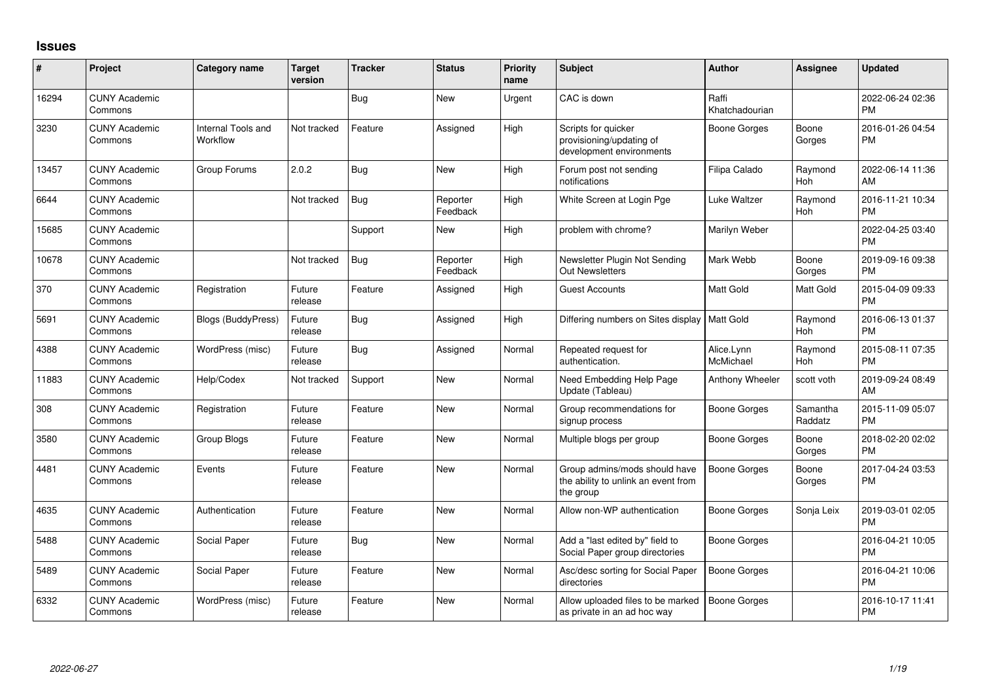## **Issues**

| $\#$  | <b>Project</b>                  | <b>Category name</b>           | <b>Target</b><br>version | <b>Tracker</b> | <b>Status</b>        | <b>Priority</b><br>name | Subject                                                                           | <b>Author</b>           | <b>Assignee</b>     | <b>Updated</b>                |
|-------|---------------------------------|--------------------------------|--------------------------|----------------|----------------------|-------------------------|-----------------------------------------------------------------------------------|-------------------------|---------------------|-------------------------------|
| 16294 | <b>CUNY Academic</b><br>Commons |                                |                          | <b>Bug</b>     | <b>New</b>           | Urgent                  | CAC is down                                                                       | Raffi<br>Khatchadourian |                     | 2022-06-24 02:36<br>PM        |
| 3230  | <b>CUNY Academic</b><br>Commons | Internal Tools and<br>Workflow | Not tracked              | Feature        | Assigned             | High                    | Scripts for quicker<br>provisioning/updating of<br>development environments       | <b>Boone Gorges</b>     | Boone<br>Gorges     | 2016-01-26 04:54<br>PM        |
| 13457 | <b>CUNY Academic</b><br>Commons | Group Forums                   | 2.0.2                    | <b>Bug</b>     | New                  | High                    | Forum post not sending<br>notifications                                           | Filipa Calado           | Raymond<br>Hoh      | 2022-06-14 11:36<br>AM        |
| 6644  | <b>CUNY Academic</b><br>Commons |                                | Not tracked              | <b>Bug</b>     | Reporter<br>Feedback | High                    | White Screen at Login Pge                                                         | Luke Waltzer            | Raymond<br>Hoh      | 2016-11-21 10:34<br><b>PM</b> |
| 15685 | <b>CUNY Academic</b><br>Commons |                                |                          | Support        | New                  | High                    | problem with chrome?                                                              | Marilyn Weber           |                     | 2022-04-25 03:40<br><b>PM</b> |
| 10678 | <b>CUNY Academic</b><br>Commons |                                | Not tracked              | <b>Bug</b>     | Reporter<br>Feedback | High                    | Newsletter Plugin Not Sending<br><b>Out Newsletters</b>                           | Mark Webb               | Boone<br>Gorges     | 2019-09-16 09:38<br><b>PM</b> |
| 370   | <b>CUNY Academic</b><br>Commons | Registration                   | Future<br>release        | Feature        | Assigned             | High                    | <b>Guest Accounts</b>                                                             | Matt Gold               | Matt Gold           | 2015-04-09 09:33<br><b>PM</b> |
| 5691  | <b>CUNY Academic</b><br>Commons | <b>Blogs (BuddyPress)</b>      | Future<br>release        | <b>Bug</b>     | Assigned             | High                    | Differing numbers on Sites display                                                | Matt Gold               | Raymond<br>Hoh      | 2016-06-13 01:37<br><b>PM</b> |
| 4388  | <b>CUNY Academic</b><br>Commons | WordPress (misc)               | Future<br>release        | <b>Bug</b>     | Assigned             | Normal                  | Repeated request for<br>authentication.                                           | Alice.Lynn<br>McMichael | Raymond<br>Hoh      | 2015-08-11 07:35<br><b>PM</b> |
| 11883 | <b>CUNY Academic</b><br>Commons | Help/Codex                     | Not tracked              | Support        | New                  | Normal                  | Need Embedding Help Page<br>Update (Tableau)                                      | Anthony Wheeler         | scott voth          | 2019-09-24 08:49<br>AM        |
| 308   | <b>CUNY Academic</b><br>Commons | Registration                   | Future<br>release        | Feature        | New                  | Normal                  | Group recommendations for<br>signup process                                       | Boone Gorges            | Samantha<br>Raddatz | 2015-11-09 05:07<br><b>PM</b> |
| 3580  | <b>CUNY Academic</b><br>Commons | Group Blogs                    | Future<br>release        | Feature        | <b>New</b>           | Normal                  | Multiple blogs per group                                                          | Boone Gorges            | Boone<br>Gorges     | 2018-02-20 02:02<br><b>PM</b> |
| 4481  | <b>CUNY Academic</b><br>Commons | Events                         | Future<br>release        | Feature        | New                  | Normal                  | Group admins/mods should have<br>the ability to unlink an event from<br>the group | <b>Boone Gorges</b>     | Boone<br>Gorges     | 2017-04-24 03:53<br><b>PM</b> |
| 4635  | <b>CUNY Academic</b><br>Commons | Authentication                 | Future<br>release        | Feature        | <b>New</b>           | Normal                  | Allow non-WP authentication                                                       | Boone Gorges            | Sonja Leix          | 2019-03-01 02:05<br>PM        |
| 5488  | <b>CUNY Academic</b><br>Commons | Social Paper                   | Future<br>release        | <b>Bug</b>     | <b>New</b>           | Normal                  | Add a "last edited by" field to<br>Social Paper group directories                 | Boone Gorges            |                     | 2016-04-21 10:05<br>PM        |
| 5489  | <b>CUNY Academic</b><br>Commons | Social Paper                   | Future<br>release        | Feature        | New                  | Normal                  | Asc/desc sorting for Social Paper<br>directories                                  | <b>Boone Gorges</b>     |                     | 2016-04-21 10:06<br>РM        |
| 6332  | <b>CUNY Academic</b><br>Commons | WordPress (misc)               | Future<br>release        | Feature        | New                  | Normal                  | Allow uploaded files to be marked<br>as private in an ad hoc way                  | Boone Gorges            |                     | 2016-10-17 11:41<br>PM        |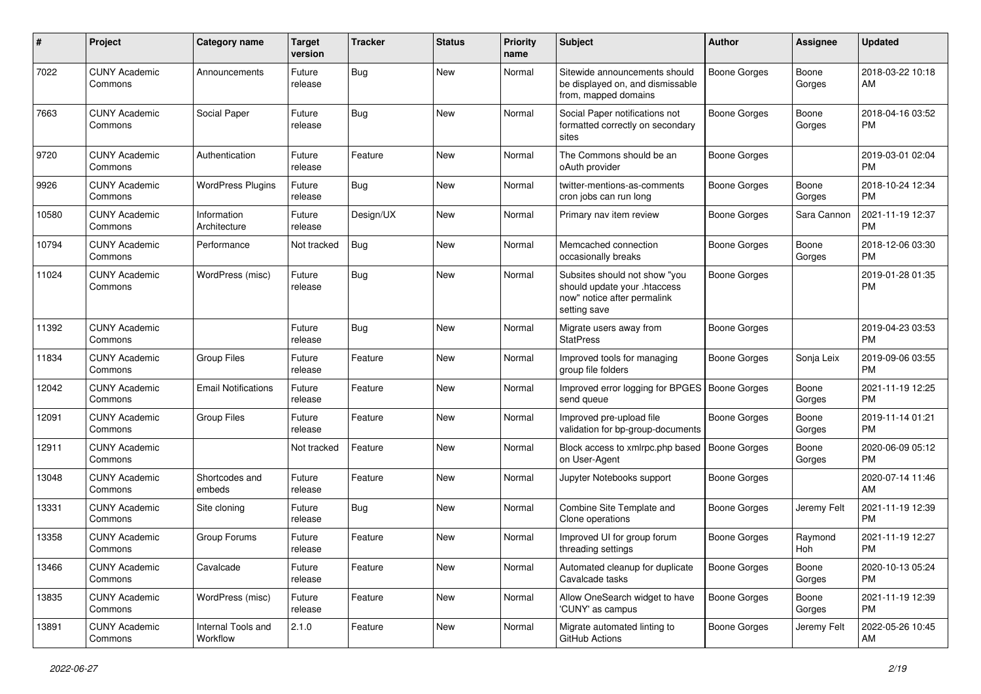| $\#$  | Project                         | <b>Category name</b>           | <b>Target</b><br>version | <b>Tracker</b> | <b>Status</b> | <b>Priority</b><br>name | Subject                                                                                                      | Author              | <b>Assignee</b> | <b>Updated</b>                |
|-------|---------------------------------|--------------------------------|--------------------------|----------------|---------------|-------------------------|--------------------------------------------------------------------------------------------------------------|---------------------|-----------------|-------------------------------|
| 7022  | <b>CUNY Academic</b><br>Commons | Announcements                  | Future<br>release        | Bug            | New           | Normal                  | Sitewide announcements should<br>be displayed on, and dismissable<br>from, mapped domains                    | <b>Boone Gorges</b> | Boone<br>Gorges | 2018-03-22 10:18<br>AM        |
| 7663  | <b>CUNY Academic</b><br>Commons | Social Paper                   | Future<br>release        | Bug            | New           | Normal                  | Social Paper notifications not<br>formatted correctly on secondary<br>sites                                  | <b>Boone Gorges</b> | Boone<br>Gorges | 2018-04-16 03:52<br>РM        |
| 9720  | <b>CUNY Academic</b><br>Commons | Authentication                 | Future<br>release        | Feature        | New           | Normal                  | The Commons should be an<br>oAuth provider                                                                   | <b>Boone Gorges</b> |                 | 2019-03-01 02:04<br>PM        |
| 9926  | <b>CUNY Academic</b><br>Commons | <b>WordPress Plugins</b>       | Future<br>release        | Bug            | New           | Normal                  | twitter-mentions-as-comments<br>cron jobs can run long                                                       | <b>Boone Gorges</b> | Boone<br>Gorges | 2018-10-24 12:34<br><b>PM</b> |
| 10580 | <b>CUNY Academic</b><br>Commons | Information<br>Architecture    | Future<br>release        | Design/UX      | New           | Normal                  | Primary nav item review                                                                                      | Boone Gorges        | Sara Cannon     | 2021-11-19 12:37<br><b>PM</b> |
| 10794 | <b>CUNY Academic</b><br>Commons | Performance                    | Not tracked              | Bug            | New           | Normal                  | Memcached connection<br>occasionally breaks                                                                  | <b>Boone Gorges</b> | Boone<br>Gorges | 2018-12-06 03:30<br>PM        |
| 11024 | <b>CUNY Academic</b><br>Commons | WordPress (misc)               | Future<br>release        | Bug            | New           | Normal                  | Subsites should not show "you<br>should update your .htaccess<br>now" notice after permalink<br>setting save | Boone Gorges        |                 | 2019-01-28 01:35<br><b>PM</b> |
| 11392 | <b>CUNY Academic</b><br>Commons |                                | Future<br>release        | <b>Bug</b>     | New           | Normal                  | Migrate users away from<br><b>StatPress</b>                                                                  | <b>Boone Gorges</b> |                 | 2019-04-23 03:53<br><b>PM</b> |
| 11834 | <b>CUNY Academic</b><br>Commons | <b>Group Files</b>             | Future<br>release        | Feature        | New           | Normal                  | Improved tools for managing<br>group file folders                                                            | <b>Boone Gorges</b> | Sonja Leix      | 2019-09-06 03:55<br><b>PM</b> |
| 12042 | <b>CUNY Academic</b><br>Commons | <b>Email Notifications</b>     | Future<br>release        | Feature        | New           | Normal                  | Improved error logging for BPGES   Boone Gorges<br>send queue                                                |                     | Boone<br>Gorges | 2021-11-19 12:25<br><b>PM</b> |
| 12091 | <b>CUNY Academic</b><br>Commons | Group Files                    | Future<br>release        | Feature        | New           | Normal                  | Improved pre-upload file<br>validation for bp-group-documents                                                | <b>Boone Gorges</b> | Boone<br>Gorges | 2019-11-14 01:21<br><b>PM</b> |
| 12911 | <b>CUNY Academic</b><br>Commons |                                | Not tracked              | Feature        | <b>New</b>    | Normal                  | Block access to xmlrpc.php based<br>on User-Agent                                                            | <b>Boone Gorges</b> | Boone<br>Gorges | 2020-06-09 05:12<br>PM        |
| 13048 | <b>CUNY Academic</b><br>Commons | Shortcodes and<br>embeds       | Future<br>release        | Feature        | New           | Normal                  | Jupyter Notebooks support                                                                                    | <b>Boone Gorges</b> |                 | 2020-07-14 11:46<br>AM        |
| 13331 | <b>CUNY Academic</b><br>Commons | Site cloning                   | Future<br>release        | Bug            | New           | Normal                  | Combine Site Template and<br>Clone operations                                                                | <b>Boone Gorges</b> | Jeremy Felt     | 2021-11-19 12:39<br><b>PM</b> |
| 13358 | <b>CUNY Academic</b><br>Commons | Group Forums                   | Future<br>release        | Feature        | New           | Normal                  | Improved UI for group forum<br>threading settings                                                            | <b>Boone Gorges</b> | Raymond<br>Hoh  | 2021-11-19 12:27<br>PM        |
| 13466 | <b>CUNY Academic</b><br>Commons | Cavalcade                      | Future<br>release        | Feature        | New           | Normal                  | Automated cleanup for duplicate<br>Cavalcade tasks                                                           | <b>Boone Gorges</b> | Boone<br>Gorges | 2020-10-13 05:24<br>PM        |
| 13835 | <b>CUNY Academic</b><br>Commons | WordPress (misc)               | Future<br>release        | Feature        | New           | Normal                  | Allow OneSearch widget to have<br>'CUNY' as campus                                                           | <b>Boone Gorges</b> | Boone<br>Gorges | 2021-11-19 12:39<br><b>PM</b> |
| 13891 | <b>CUNY Academic</b><br>Commons | Internal Tools and<br>Workflow | 2.1.0                    | Feature        | New           | Normal                  | Migrate automated linting to<br>GitHub Actions                                                               | Boone Gorges        | Jeremy Felt     | 2022-05-26 10:45<br>AM        |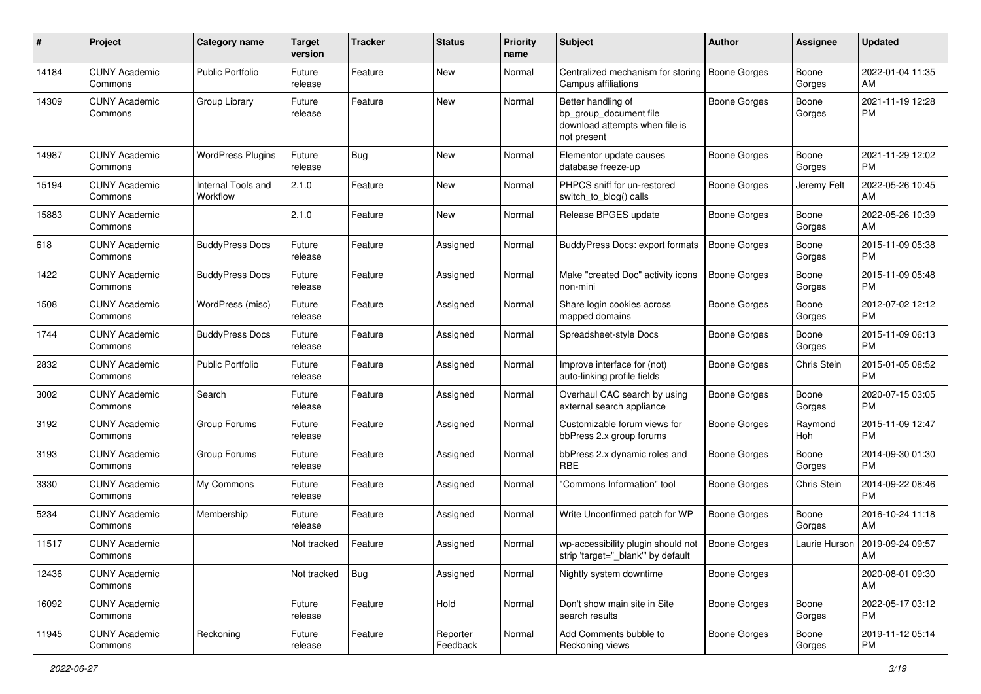| #     | Project                         | <b>Category name</b>           | <b>Target</b><br>version | <b>Tracker</b> | <b>Status</b>        | <b>Priority</b><br>name | Subject                                                                                       | Author              | Assignee        | <b>Updated</b>                |
|-------|---------------------------------|--------------------------------|--------------------------|----------------|----------------------|-------------------------|-----------------------------------------------------------------------------------------------|---------------------|-----------------|-------------------------------|
| 14184 | <b>CUNY Academic</b><br>Commons | <b>Public Portfolio</b>        | Future<br>release        | Feature        | New                  | Normal                  | Centralized mechanism for storing<br>Campus affiliations                                      | <b>Boone Gorges</b> | Boone<br>Gorges | 2022-01-04 11:35<br>AM        |
| 14309 | <b>CUNY Academic</b><br>Commons | Group Library                  | Future<br>release        | Feature        | New                  | Normal                  | Better handling of<br>bp_group_document file<br>download attempts when file is<br>not present | Boone Gorges        | Boone<br>Gorges | 2021-11-19 12:28<br><b>PM</b> |
| 14987 | <b>CUNY Academic</b><br>Commons | <b>WordPress Plugins</b>       | Future<br>release        | Bug            | New                  | Normal                  | Elementor update causes<br>database freeze-up                                                 | Boone Gorges        | Boone<br>Gorges | 2021-11-29 12:02<br>PM.       |
| 15194 | <b>CUNY Academic</b><br>Commons | Internal Tools and<br>Workflow | 2.1.0                    | Feature        | New                  | Normal                  | PHPCS sniff for un-restored<br>switch_to_blog() calls                                         | <b>Boone Gorges</b> | Jeremy Felt     | 2022-05-26 10:45<br>AM        |
| 15883 | <b>CUNY Academic</b><br>Commons |                                | 2.1.0                    | Feature        | New                  | Normal                  | Release BPGES update                                                                          | <b>Boone Gorges</b> | Boone<br>Gorges | 2022-05-26 10:39<br>AM        |
| 618   | <b>CUNY Academic</b><br>Commons | <b>BuddyPress Docs</b>         | Future<br>release        | Feature        | Assigned             | Normal                  | BuddyPress Docs: export formats                                                               | Boone Gorges        | Boone<br>Gorges | 2015-11-09 05:38<br>PM        |
| 1422  | <b>CUNY Academic</b><br>Commons | <b>BuddyPress Docs</b>         | Future<br>release        | Feature        | Assigned             | Normal                  | Make "created Doc" activity icons<br>non-mini                                                 | <b>Boone Gorges</b> | Boone<br>Gorges | 2015-11-09 05:48<br><b>PM</b> |
| 1508  | <b>CUNY Academic</b><br>Commons | WordPress (misc)               | Future<br>release        | Feature        | Assigned             | Normal                  | Share login cookies across<br>mapped domains                                                  | <b>Boone Gorges</b> | Boone<br>Gorges | 2012-07-02 12:12<br>РM        |
| 1744  | <b>CUNY Academic</b><br>Commons | <b>BuddyPress Docs</b>         | Future<br>release        | Feature        | Assigned             | Normal                  | Spreadsheet-style Docs                                                                        | <b>Boone Gorges</b> | Boone<br>Gorges | 2015-11-09 06:13<br>РM        |
| 2832  | <b>CUNY Academic</b><br>Commons | <b>Public Portfolio</b>        | Future<br>release        | Feature        | Assigned             | Normal                  | Improve interface for (not)<br>auto-linking profile fields                                    | Boone Gorges        | Chris Stein     | 2015-01-05 08:52<br><b>PM</b> |
| 3002  | <b>CUNY Academic</b><br>Commons | Search                         | Future<br>release        | Feature        | Assigned             | Normal                  | Overhaul CAC search by using<br>external search appliance                                     | <b>Boone Gorges</b> | Boone<br>Gorges | 2020-07-15 03:05<br><b>PM</b> |
| 3192  | <b>CUNY Academic</b><br>Commons | Group Forums                   | Future<br>release        | Feature        | Assigned             | Normal                  | Customizable forum views for<br>bbPress 2.x group forums                                      | <b>Boone Gorges</b> | Raymond<br>Hoh  | 2015-11-09 12:47<br>РM        |
| 3193  | <b>CUNY Academic</b><br>Commons | Group Forums                   | Future<br>release        | Feature        | Assigned             | Normal                  | bbPress 2.x dynamic roles and<br><b>RBE</b>                                                   | Boone Gorges        | Boone<br>Gorges | 2014-09-30 01:30<br>PM        |
| 3330  | <b>CUNY Academic</b><br>Commons | My Commons                     | Future<br>release        | Feature        | Assigned             | Normal                  | 'Commons Information" tool                                                                    | <b>Boone Gorges</b> | Chris Stein     | 2014-09-22 08:46<br><b>PM</b> |
| 5234  | <b>CUNY Academic</b><br>Commons | Membership                     | Future<br>release        | Feature        | Assigned             | Normal                  | Write Unconfirmed patch for WP                                                                | <b>Boone Gorges</b> | Boone<br>Gorges | 2016-10-24 11:18<br>AM        |
| 11517 | <b>CUNY Academic</b><br>Commons |                                | Not tracked              | Feature        | Assigned             | Normal                  | wp-accessibility plugin should not<br>strip 'target="_blank"' by default                      | <b>Boone Gorges</b> | Laurie Hurson   | 2019-09-24 09:57<br>AM        |
| 12436 | <b>CUNY Academic</b><br>Commons |                                | Not tracked              | Bug            | Assigned             | Normal                  | Nightly system downtime                                                                       | Boone Gorges        |                 | 2020-08-01 09:30<br>AM        |
| 16092 | <b>CUNY Academic</b><br>Commons |                                | Future<br>release        | Feature        | Hold                 | Normal                  | Don't show main site in Site<br>search results                                                | Boone Gorges        | Boone<br>Gorges | 2022-05-17 03:12<br><b>PM</b> |
| 11945 | <b>CUNY Academic</b><br>Commons | Reckoning                      | Future<br>release        | Feature        | Reporter<br>Feedback | Normal                  | Add Comments bubble to<br>Reckoning views                                                     | Boone Gorges        | Boone<br>Gorges | 2019-11-12 05:14<br><b>PM</b> |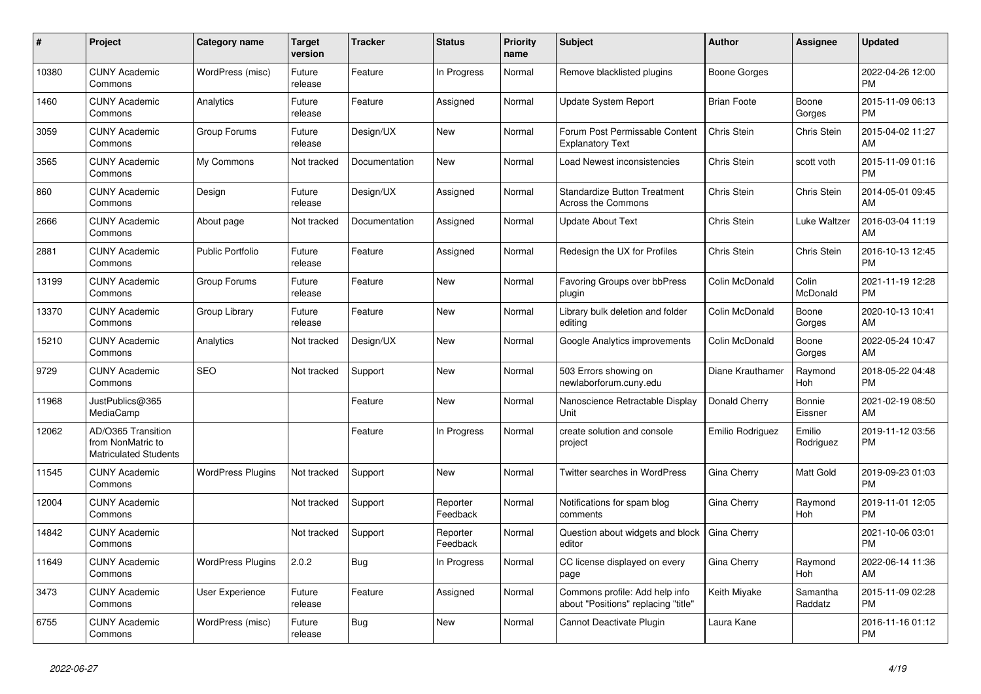| #     | Project                                                                 | Category name            | Target<br>version | <b>Tracker</b> | <b>Status</b>        | <b>Priority</b><br>name | <b>Subject</b>                                                        | <b>Author</b>      | <b>Assignee</b>     | <b>Updated</b>                |
|-------|-------------------------------------------------------------------------|--------------------------|-------------------|----------------|----------------------|-------------------------|-----------------------------------------------------------------------|--------------------|---------------------|-------------------------------|
| 10380 | <b>CUNY Academic</b><br>Commons                                         | WordPress (misc)         | Future<br>release | Feature        | In Progress          | Normal                  | Remove blacklisted plugins                                            | Boone Gorges       |                     | 2022-04-26 12:00<br><b>PM</b> |
| 1460  | <b>CUNY Academic</b><br>Commons                                         | Analytics                | Future<br>release | Feature        | Assigned             | Normal                  | Update System Report                                                  | <b>Brian Foote</b> | Boone<br>Gorges     | 2015-11-09 06:13<br><b>PM</b> |
| 3059  | <b>CUNY Academic</b><br>Commons                                         | Group Forums             | Future<br>release | Design/UX      | <b>New</b>           | Normal                  | Forum Post Permissable Content<br><b>Explanatory Text</b>             | Chris Stein        | Chris Stein         | 2015-04-02 11:27<br>AM        |
| 3565  | <b>CUNY Academic</b><br>Commons                                         | My Commons               | Not tracked       | Documentation  | <b>New</b>           | Normal                  | Load Newest inconsistencies                                           | Chris Stein        | scott voth          | 2015-11-09 01:16<br><b>PM</b> |
| 860   | <b>CUNY Academic</b><br>Commons                                         | Design                   | Future<br>release | Design/UX      | Assigned             | Normal                  | <b>Standardize Button Treatment</b><br><b>Across the Commons</b>      | Chris Stein        | Chris Stein         | 2014-05-01 09:45<br>AM        |
| 2666  | <b>CUNY Academic</b><br>Commons                                         | About page               | Not tracked       | Documentation  | Assigned             | Normal                  | <b>Update About Text</b>                                              | Chris Stein        | Luke Waltzer        | 2016-03-04 11:19<br>AM        |
| 2881  | <b>CUNY Academic</b><br>Commons                                         | <b>Public Portfolio</b>  | Future<br>release | Feature        | Assigned             | Normal                  | Redesign the UX for Profiles                                          | Chris Stein        | Chris Stein         | 2016-10-13 12:45<br><b>PM</b> |
| 13199 | <b>CUNY Academic</b><br>Commons                                         | Group Forums             | Future<br>release | Feature        | <b>New</b>           | Normal                  | Favoring Groups over bbPress<br>plugin                                | Colin McDonald     | Colin<br>McDonald   | 2021-11-19 12:28<br><b>PM</b> |
| 13370 | <b>CUNY Academic</b><br>Commons                                         | Group Library            | Future<br>release | Feature        | <b>New</b>           | Normal                  | Library bulk deletion and folder<br>editing                           | Colin McDonald     | Boone<br>Gorges     | 2020-10-13 10:41<br>AM        |
| 15210 | <b>CUNY Academic</b><br>Commons                                         | Analytics                | Not tracked       | Design/UX      | <b>New</b>           | Normal                  | Google Analytics improvements                                         | Colin McDonald     | Boone<br>Gorges     | 2022-05-24 10:47<br>AM        |
| 9729  | <b>CUNY Academic</b><br>Commons                                         | <b>SEO</b>               | Not tracked       | Support        | <b>New</b>           | Normal                  | 503 Errors showing on<br>newlaborforum.cuny.edu                       | Diane Krauthamer   | Raymond<br>Hoh      | 2018-05-22 04:48<br><b>PM</b> |
| 11968 | JustPublics@365<br>MediaCamp                                            |                          |                   | Feature        | <b>New</b>           | Normal                  | Nanoscience Retractable Display<br>Unit                               | Donald Cherry      | Bonnie<br>Eissner   | 2021-02-19 08:50<br>AM        |
| 12062 | AD/O365 Transition<br>from NonMatric to<br><b>Matriculated Students</b> |                          |                   | Feature        | In Progress          | Normal                  | create solution and console<br>project                                | Emilio Rodriguez   | Emilio<br>Rodriguez | 2019-11-12 03:56<br><b>PM</b> |
| 11545 | <b>CUNY Academic</b><br>Commons                                         | <b>WordPress Plugins</b> | Not tracked       | Support        | <b>New</b>           | Normal                  | <b>Twitter searches in WordPress</b>                                  | Gina Cherry        | Matt Gold           | 2019-09-23 01:03<br><b>PM</b> |
| 12004 | <b>CUNY Academic</b><br>Commons                                         |                          | Not tracked       | Support        | Reporter<br>Feedback | Normal                  | Notifications for spam blog<br>comments                               | Gina Cherry        | Raymond<br>Hoh      | 2019-11-01 12:05<br><b>PM</b> |
| 14842 | <b>CUNY Academic</b><br>Commons                                         |                          | Not tracked       | Support        | Reporter<br>Feedback | Normal                  | Question about widgets and block<br>editor                            | Gina Cherry        |                     | 2021-10-06 03:01<br><b>PM</b> |
| 11649 | <b>CUNY Academic</b><br>Commons                                         | <b>WordPress Plugins</b> | 2.0.2             | <b>Bug</b>     | In Progress          | Normal                  | CC license displayed on every<br>page                                 | Gina Cherry        | Raymond<br>Hoh      | 2022-06-14 11:36<br>AM        |
| 3473  | <b>CUNY Academic</b><br>Commons                                         | User Experience          | Future<br>release | Feature        | Assigned             | Normal                  | Commons profile: Add help info<br>about "Positions" replacing "title" | Keith Miyake       | Samantha<br>Raddatz | 2015-11-09 02:28<br><b>PM</b> |
| 6755  | <b>CUNY Academic</b><br>Commons                                         | WordPress (misc)         | Future<br>release | Bug            | <b>New</b>           | Normal                  | Cannot Deactivate Plugin                                              | Laura Kane         |                     | 2016-11-16 01:12<br><b>PM</b> |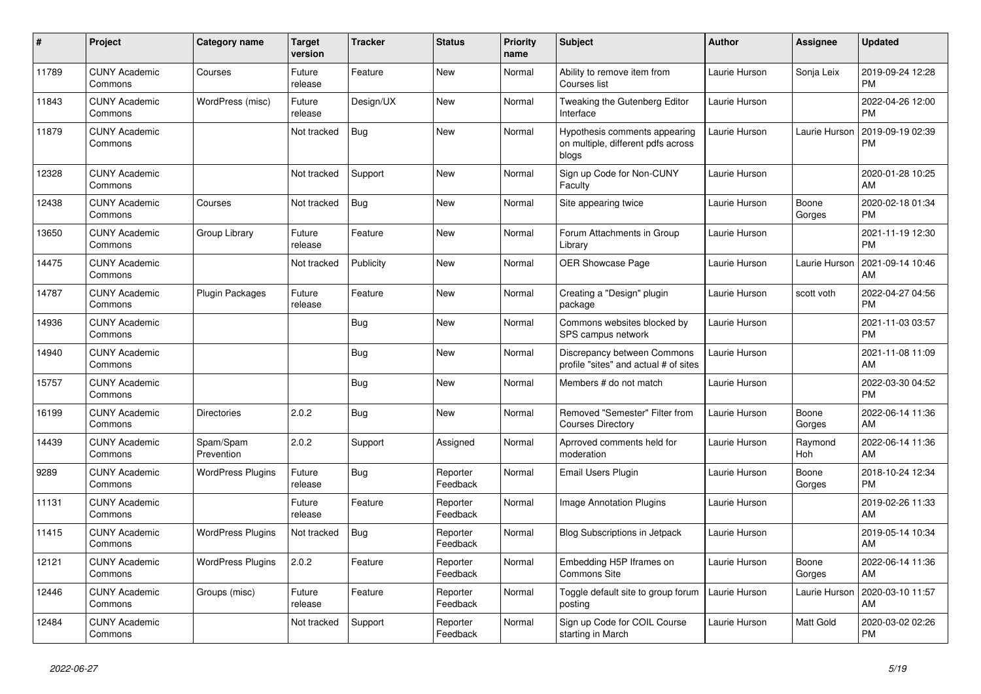| #     | <b>Project</b>                  | <b>Category name</b>     | Target<br>version | Tracker    | <b>Status</b>        | <b>Priority</b><br>name | <b>Subject</b>                                                               | <b>Author</b> | <b>Assignee</b> | <b>Updated</b>                |
|-------|---------------------------------|--------------------------|-------------------|------------|----------------------|-------------------------|------------------------------------------------------------------------------|---------------|-----------------|-------------------------------|
| 11789 | <b>CUNY Academic</b><br>Commons | Courses                  | Future<br>release | Feature    | <b>New</b>           | Normal                  | Ability to remove item from<br>Courses list                                  | Laurie Hurson | Sonja Leix      | 2019-09-24 12:28<br><b>PM</b> |
| 11843 | <b>CUNY Academic</b><br>Commons | WordPress (misc)         | Future<br>release | Design/UX  | <b>New</b>           | Normal                  | Tweaking the Gutenberg Editor<br>Interface                                   | Laurie Hurson |                 | 2022-04-26 12:00<br><b>PM</b> |
| 11879 | <b>CUNY Academic</b><br>Commons |                          | Not tracked       | Bug        | <b>New</b>           | Normal                  | Hypothesis comments appearing<br>on multiple, different pdfs across<br>blogs | Laurie Hurson | Laurie Hurson   | 2019-09-19 02:39<br><b>PM</b> |
| 12328 | <b>CUNY Academic</b><br>Commons |                          | Not tracked       | Support    | New                  | Normal                  | Sign up Code for Non-CUNY<br>Faculty                                         | Laurie Hurson |                 | 2020-01-28 10:25<br>AM        |
| 12438 | <b>CUNY Academic</b><br>Commons | Courses                  | Not tracked       | <b>Bug</b> | <b>New</b>           | Normal                  | Site appearing twice                                                         | Laurie Hurson | Boone<br>Gorges | 2020-02-18 01:34<br><b>PM</b> |
| 13650 | <b>CUNY Academic</b><br>Commons | Group Library            | Future<br>release | Feature    | <b>New</b>           | Normal                  | Forum Attachments in Group<br>Library                                        | Laurie Hurson |                 | 2021-11-19 12:30<br><b>PM</b> |
| 14475 | <b>CUNY Academic</b><br>Commons |                          | Not tracked       | Publicity  | New                  | Normal                  | <b>OER Showcase Page</b>                                                     | Laurie Hurson | Laurie Hurson   | 2021-09-14 10:46<br>AM        |
| 14787 | <b>CUNY Academic</b><br>Commons | <b>Plugin Packages</b>   | Future<br>release | Feature    | <b>New</b>           | Normal                  | Creating a "Design" plugin<br>package                                        | Laurie Hurson | scott voth      | 2022-04-27 04:56<br><b>PM</b> |
| 14936 | <b>CUNY Academic</b><br>Commons |                          |                   | <b>Bug</b> | <b>New</b>           | Normal                  | Commons websites blocked by<br>SPS campus network                            | Laurie Hurson |                 | 2021-11-03 03:57<br><b>PM</b> |
| 14940 | <b>CUNY Academic</b><br>Commons |                          |                   | Bug        | <b>New</b>           | Normal                  | Discrepancy between Commons<br>profile "sites" and actual # of sites         | Laurie Hurson |                 | 2021-11-08 11:09<br>AM        |
| 15757 | <b>CUNY Academic</b><br>Commons |                          |                   | Bug        | New                  | Normal                  | Members # do not match                                                       | Laurie Hurson |                 | 2022-03-30 04:52<br><b>PM</b> |
| 16199 | <b>CUNY Academic</b><br>Commons | <b>Directories</b>       | 2.0.2             | Bug        | <b>New</b>           | Normal                  | Removed "Semester" Filter from<br><b>Courses Directory</b>                   | Laurie Hurson | Boone<br>Gorges | 2022-06-14 11:36<br>AM        |
| 14439 | <b>CUNY Academic</b><br>Commons | Spam/Spam<br>Prevention  | 2.0.2             | Support    | Assigned             | Normal                  | Aprroved comments held for<br>moderation                                     | Laurie Hurson | Raymond<br>Hoh  | 2022-06-14 11:36<br>AM        |
| 9289  | <b>CUNY Academic</b><br>Commons | <b>WordPress Plugins</b> | Future<br>release | Bug        | Reporter<br>Feedback | Normal                  | Email Users Plugin                                                           | Laurie Hurson | Boone<br>Gorges | 2018-10-24 12:34<br><b>PM</b> |
| 11131 | <b>CUNY Academic</b><br>Commons |                          | Future<br>release | Feature    | Reporter<br>Feedback | Normal                  | <b>Image Annotation Plugins</b>                                              | Laurie Hurson |                 | 2019-02-26 11:33<br>AM        |
| 11415 | <b>CUNY Academic</b><br>Commons | <b>WordPress Plugins</b> | Not tracked       | Bug        | Reporter<br>Feedback | Normal                  | <b>Blog Subscriptions in Jetpack</b>                                         | Laurie Hurson |                 | 2019-05-14 10:34<br>AM        |
| 12121 | <b>CUNY Academic</b><br>Commons | <b>WordPress Plugins</b> | 2.0.2             | Feature    | Reporter<br>Feedback | Normal                  | Embedding H5P Iframes on<br><b>Commons Site</b>                              | Laurie Hurson | Boone<br>Gorges | 2022-06-14 11:36<br>AM        |
| 12446 | <b>CUNY Academic</b><br>Commons | Groups (misc)            | Future<br>release | Feature    | Reporter<br>Feedback | Normal                  | Toggle default site to group forum<br>posting                                | Laurie Hurson | Laurie Hurson   | 2020-03-10 11:57<br>AM        |
| 12484 | <b>CUNY Academic</b><br>Commons |                          | Not tracked       | Support    | Reporter<br>Feedback | Normal                  | Sign up Code for COIL Course<br>starting in March                            | Laurie Hurson | Matt Gold       | 2020-03-02 02:26<br><b>PM</b> |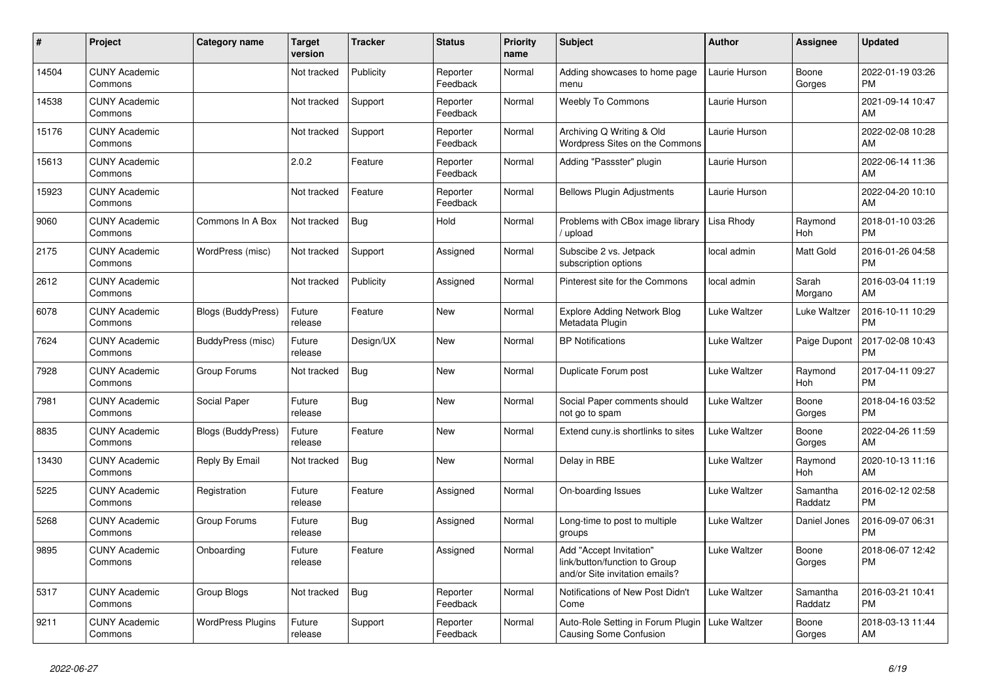| #     | <b>Project</b>                  | Category name             | <b>Target</b><br>version | Tracker    | <b>Status</b>        | <b>Priority</b><br>name | <b>Subject</b>                                                                             | <b>Author</b>       | Assignee              | <b>Updated</b>                |
|-------|---------------------------------|---------------------------|--------------------------|------------|----------------------|-------------------------|--------------------------------------------------------------------------------------------|---------------------|-----------------------|-------------------------------|
| 14504 | <b>CUNY Academic</b><br>Commons |                           | Not tracked              | Publicity  | Reporter<br>Feedback | Normal                  | Adding showcases to home page<br>menu                                                      | Laurie Hurson       | Boone<br>Gorges       | 2022-01-19 03:26<br><b>PM</b> |
| 14538 | <b>CUNY Academic</b><br>Commons |                           | Not tracked              | Support    | Reporter<br>Feedback | Normal                  | <b>Weebly To Commons</b>                                                                   | Laurie Hurson       |                       | 2021-09-14 10:47<br>AM        |
| 15176 | <b>CUNY Academic</b><br>Commons |                           | Not tracked              | Support    | Reporter<br>Feedback | Normal                  | Archiving Q Writing & Old<br>Wordpress Sites on the Commons                                | Laurie Hurson       |                       | 2022-02-08 10:28<br>AM        |
| 15613 | <b>CUNY Academic</b><br>Commons |                           | 2.0.2                    | Feature    | Reporter<br>Feedback | Normal                  | Adding "Passster" plugin                                                                   | Laurie Hurson       |                       | 2022-06-14 11:36<br>AM        |
| 15923 | <b>CUNY Academic</b><br>Commons |                           | Not tracked              | Feature    | Reporter<br>Feedback | Normal                  | <b>Bellows Plugin Adjustments</b>                                                          | Laurie Hurson       |                       | 2022-04-20 10:10<br>AM        |
| 9060  | <b>CUNY Academic</b><br>Commons | Commons In A Box          | Not tracked              | Bug        | Hold                 | Normal                  | Problems with CBox image library<br>upload                                                 | Lisa Rhody          | Raymond<br><b>Hoh</b> | 2018-01-10 03:26<br><b>PM</b> |
| 2175  | <b>CUNY Academic</b><br>Commons | WordPress (misc)          | Not tracked              | Support    | Assigned             | Normal                  | Subscibe 2 vs. Jetpack<br>subscription options                                             | local admin         | Matt Gold             | 2016-01-26 04:58<br><b>PM</b> |
| 2612  | <b>CUNY Academic</b><br>Commons |                           | Not tracked              | Publicity  | Assigned             | Normal                  | Pinterest site for the Commons                                                             | local admin         | Sarah<br>Morgano      | 2016-03-04 11:19<br>AM        |
| 6078  | <b>CUNY Academic</b><br>Commons | Blogs (BuddyPress)        | Future<br>release        | Feature    | New                  | Normal                  | <b>Explore Adding Network Blog</b><br>Metadata Plugin                                      | Luke Waltzer        | Luke Waltzer          | 2016-10-11 10:29<br><b>PM</b> |
| 7624  | <b>CUNY Academic</b><br>Commons | BuddyPress (misc)         | Future<br>release        | Design/UX  | <b>New</b>           | Normal                  | <b>BP Notifications</b>                                                                    | Luke Waltzer        | Paige Dupont          | 2017-02-08 10:43<br><b>PM</b> |
| 7928  | <b>CUNY Academic</b><br>Commons | Group Forums              | Not tracked              | <b>Bug</b> | <b>New</b>           | Normal                  | Duplicate Forum post                                                                       | <b>Luke Waltzer</b> | Raymond<br>Hoh        | 2017-04-11 09:27<br><b>PM</b> |
| 7981  | <b>CUNY Academic</b><br>Commons | Social Paper              | Future<br>release        | <b>Bug</b> | <b>New</b>           | Normal                  | Social Paper comments should<br>not go to spam                                             | <b>Luke Waltzer</b> | Boone<br>Gorges       | 2018-04-16 03:52<br><b>PM</b> |
| 8835  | <b>CUNY Academic</b><br>Commons | <b>Blogs (BuddyPress)</b> | Future<br>release        | Feature    | New                  | Normal                  | Extend cuny is shortlinks to sites                                                         | Luke Waltzer        | Boone<br>Gorges       | 2022-04-26 11:59<br>AM        |
| 13430 | <b>CUNY Academic</b><br>Commons | Reply By Email            | Not tracked              | <b>Bug</b> | New                  | Normal                  | Delay in RBE                                                                               | Luke Waltzer        | Raymond<br><b>Hoh</b> | 2020-10-13 11:16<br>AM        |
| 5225  | <b>CUNY Academic</b><br>Commons | Registration              | Future<br>release        | Feature    | Assigned             | Normal                  | On-boarding Issues                                                                         | Luke Waltzer        | Samantha<br>Raddatz   | 2016-02-12 02:58<br><b>PM</b> |
| 5268  | <b>CUNY Academic</b><br>Commons | Group Forums              | Future<br>release        | <b>Bug</b> | Assigned             | Normal                  | Long-time to post to multiple<br>groups                                                    | <b>Luke Waltzer</b> | Daniel Jones          | 2016-09-07 06:31<br><b>PM</b> |
| 9895  | <b>CUNY Academic</b><br>Commons | Onboarding                | Future<br>release        | Feature    | Assigned             | Normal                  | Add "Accept Invitation"<br>link/button/function to Group<br>and/or Site invitation emails? | <b>Luke Waltzer</b> | Boone<br>Gorges       | 2018-06-07 12:42<br><b>PM</b> |
| 5317  | <b>CUNY Academic</b><br>Commons | Group Blogs               | Not tracked              | Bug        | Reporter<br>Feedback | Normal                  | Notifications of New Post Didn't<br>Come                                                   | <b>Luke Waltzer</b> | Samantha<br>Raddatz   | 2016-03-21 10:41<br><b>PM</b> |
| 9211  | <b>CUNY Academic</b><br>Commons | <b>WordPress Plugins</b>  | Future<br>release        | Support    | Reporter<br>Feedback | Normal                  | Auto-Role Setting in Forum Plugin<br><b>Causing Some Confusion</b>                         | Luke Waltzer        | Boone<br>Gorges       | 2018-03-13 11:44<br>AM        |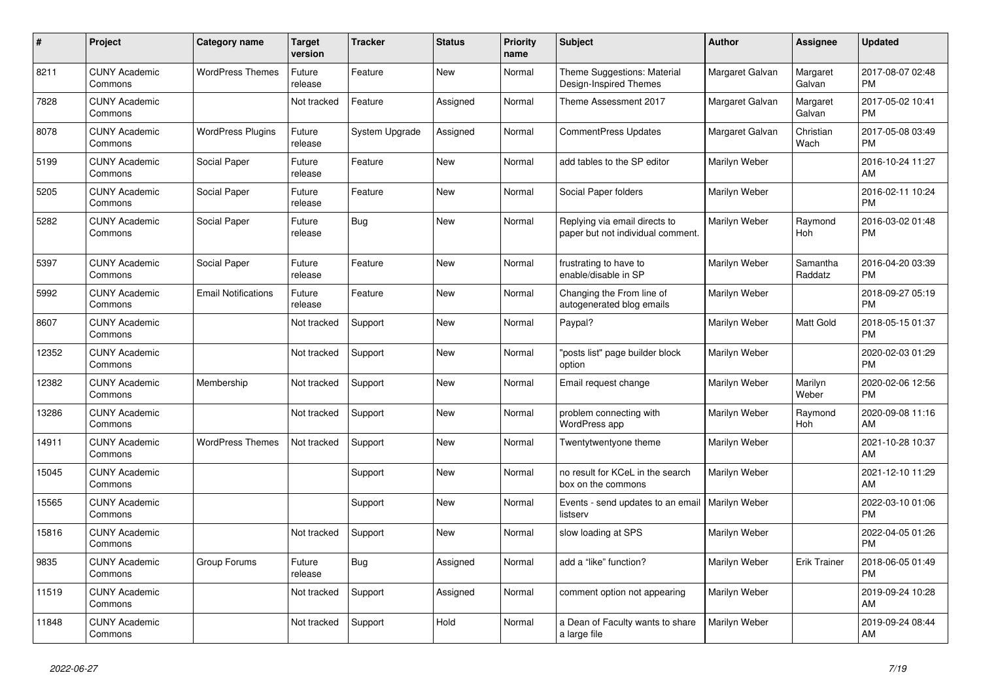| $\pmb{\#}$ | Project                         | <b>Category name</b>       | <b>Target</b><br>version | Tracker        | <b>Status</b> | <b>Priority</b><br>name | <b>Subject</b>                                                     | <b>Author</b>   | Assignee              | <b>Updated</b>                |
|------------|---------------------------------|----------------------------|--------------------------|----------------|---------------|-------------------------|--------------------------------------------------------------------|-----------------|-----------------------|-------------------------------|
| 8211       | <b>CUNY Academic</b><br>Commons | <b>WordPress Themes</b>    | Future<br>release        | Feature        | <b>New</b>    | Normal                  | Theme Suggestions: Material<br>Design-Inspired Themes              | Margaret Galvan | Margaret<br>Galvan    | 2017-08-07 02:48<br><b>PM</b> |
| 7828       | <b>CUNY Academic</b><br>Commons |                            | Not tracked              | Feature        | Assigned      | Normal                  | Theme Assessment 2017                                              | Margaret Galvan | Margaret<br>Galvan    | 2017-05-02 10:41<br><b>PM</b> |
| 8078       | <b>CUNY Academic</b><br>Commons | <b>WordPress Plugins</b>   | Future<br>release        | System Upgrade | Assigned      | Normal                  | <b>CommentPress Updates</b>                                        | Margaret Galvan | Christian<br>Wach     | 2017-05-08 03:49<br><b>PM</b> |
| 5199       | <b>CUNY Academic</b><br>Commons | Social Paper               | Future<br>release        | Feature        | New           | Normal                  | add tables to the SP editor                                        | Marilyn Weber   |                       | 2016-10-24 11:27<br>AM        |
| 5205       | <b>CUNY Academic</b><br>Commons | Social Paper               | Future<br>release        | Feature        | <b>New</b>    | Normal                  | Social Paper folders                                               | Marilyn Weber   |                       | 2016-02-11 10:24<br><b>PM</b> |
| 5282       | <b>CUNY Academic</b><br>Commons | Social Paper               | Future<br>release        | Bug            | <b>New</b>    | Normal                  | Replying via email directs to<br>paper but not individual comment. | Marilyn Weber   | Raymond<br>Hoh        | 2016-03-02 01:48<br><b>PM</b> |
| 5397       | <b>CUNY Academic</b><br>Commons | Social Paper               | Future<br>release        | Feature        | <b>New</b>    | Normal                  | frustrating to have to<br>enable/disable in SP                     | Marilyn Weber   | Samantha<br>Raddatz   | 2016-04-20 03:39<br><b>PM</b> |
| 5992       | <b>CUNY Academic</b><br>Commons | <b>Email Notifications</b> | Future<br>release        | Feature        | New           | Normal                  | Changing the From line of<br>autogenerated blog emails             | Marilyn Weber   |                       | 2018-09-27 05:19<br><b>PM</b> |
| 8607       | <b>CUNY Academic</b><br>Commons |                            | Not tracked              | Support        | <b>New</b>    | Normal                  | Paypal?                                                            | Marilyn Weber   | Matt Gold             | 2018-05-15 01:37<br><b>PM</b> |
| 12352      | <b>CUNY Academic</b><br>Commons |                            | Not tracked              | Support        | New           | Normal                  | "posts list" page builder block<br>option                          | Marilyn Weber   |                       | 2020-02-03 01:29<br><b>PM</b> |
| 12382      | <b>CUNY Academic</b><br>Commons | Membership                 | Not tracked              | Support        | New           | Normal                  | Email request change                                               | Marilyn Weber   | Marilyn<br>Weber      | 2020-02-06 12:56<br><b>PM</b> |
| 13286      | <b>CUNY Academic</b><br>Commons |                            | Not tracked              | Support        | <b>New</b>    | Normal                  | problem connecting with<br>WordPress app                           | Marilyn Weber   | Raymond<br><b>Hoh</b> | 2020-09-08 11:16<br>AM        |
| 14911      | <b>CUNY Academic</b><br>Commons | <b>WordPress Themes</b>    | Not tracked              | Support        | New           | Normal                  | Twentytwentyone theme                                              | Marilyn Weber   |                       | 2021-10-28 10:37<br>AM        |
| 15045      | <b>CUNY Academic</b><br>Commons |                            |                          | Support        | New           | Normal                  | no result for KCeL in the search<br>box on the commons             | Marilyn Weber   |                       | 2021-12-10 11:29<br>AM        |
| 15565      | <b>CUNY Academic</b><br>Commons |                            |                          | Support        | New           | Normal                  | Events - send updates to an email   Marilyn Weber<br>listserv      |                 |                       | 2022-03-10 01:06<br><b>PM</b> |
| 15816      | <b>CUNY Academic</b><br>Commons |                            | Not tracked              | Support        | New           | Normal                  | slow loading at SPS                                                | Marilyn Weber   |                       | 2022-04-05 01:26<br><b>PM</b> |
| 9835       | <b>CUNY Academic</b><br>Commons | Group Forums               | Future<br>release        | Bug            | Assigned      | Normal                  | add a "like" function?                                             | Marilyn Weber   | <b>Erik Trainer</b>   | 2018-06-05 01:49<br><b>PM</b> |
| 11519      | <b>CUNY Academic</b><br>Commons |                            | Not tracked              | Support        | Assigned      | Normal                  | comment option not appearing                                       | Marilyn Weber   |                       | 2019-09-24 10:28<br>AM        |
| 11848      | <b>CUNY Academic</b><br>Commons |                            | Not tracked              | Support        | Hold          | Normal                  | a Dean of Faculty wants to share<br>a large file                   | Marilyn Weber   |                       | 2019-09-24 08:44<br>AM        |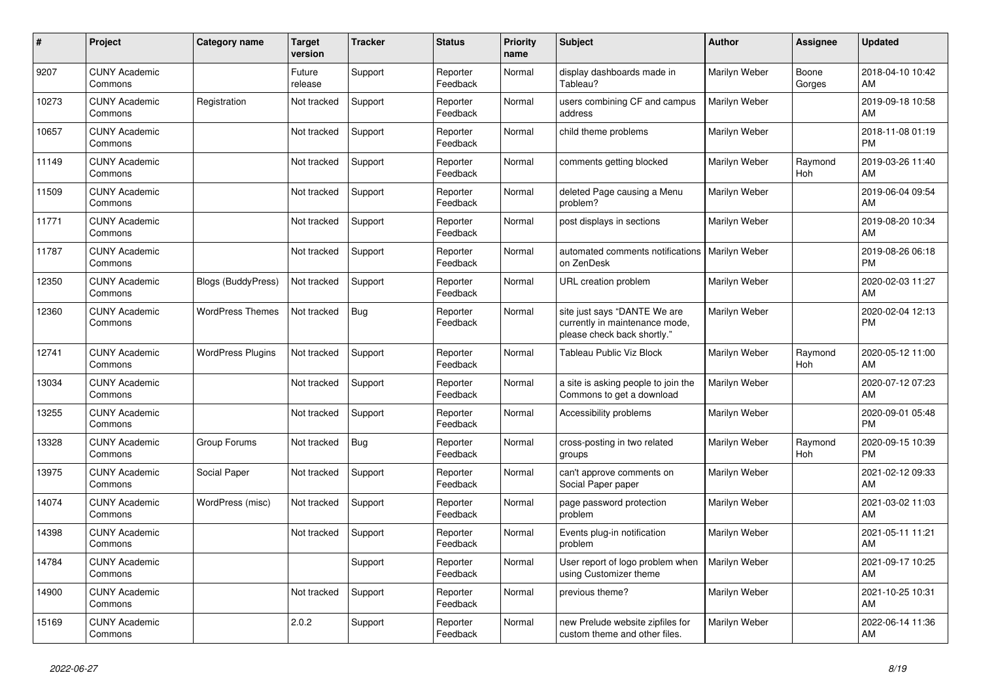| #     | <b>Project</b>                  | Category name             | <b>Target</b><br>version | Tracker    | <b>Status</b>        | <b>Priority</b><br>name | <b>Subject</b>                                                                                | <b>Author</b> | Assignee              | <b>Updated</b>                |
|-------|---------------------------------|---------------------------|--------------------------|------------|----------------------|-------------------------|-----------------------------------------------------------------------------------------------|---------------|-----------------------|-------------------------------|
| 9207  | <b>CUNY Academic</b><br>Commons |                           | Future<br>release        | Support    | Reporter<br>Feedback | Normal                  | display dashboards made in<br>Tableau?                                                        | Marilyn Weber | Boone<br>Gorges       | 2018-04-10 10:42<br>AM        |
| 10273 | <b>CUNY Academic</b><br>Commons | Registration              | Not tracked              | Support    | Reporter<br>Feedback | Normal                  | users combining CF and campus<br>address                                                      | Marilyn Weber |                       | 2019-09-18 10:58<br>AM        |
| 10657 | <b>CUNY Academic</b><br>Commons |                           | Not tracked              | Support    | Reporter<br>Feedback | Normal                  | child theme problems                                                                          | Marilyn Weber |                       | 2018-11-08 01:19<br><b>PM</b> |
| 11149 | <b>CUNY Academic</b><br>Commons |                           | Not tracked              | Support    | Reporter<br>Feedback | Normal                  | comments getting blocked                                                                      | Marilyn Weber | Raymond<br><b>Hoh</b> | 2019-03-26 11:40<br>AM        |
| 11509 | <b>CUNY Academic</b><br>Commons |                           | Not tracked              | Support    | Reporter<br>Feedback | Normal                  | deleted Page causing a Menu<br>problem?                                                       | Marilyn Weber |                       | 2019-06-04 09:54<br>AM        |
| 11771 | <b>CUNY Academic</b><br>Commons |                           | Not tracked              | Support    | Reporter<br>Feedback | Normal                  | post displays in sections                                                                     | Marilyn Weber |                       | 2019-08-20 10:34<br>AM        |
| 11787 | <b>CUNY Academic</b><br>Commons |                           | Not tracked              | Support    | Reporter<br>Feedback | Normal                  | automated comments notifications<br>on ZenDesk                                                | Marilyn Weber |                       | 2019-08-26 06:18<br><b>PM</b> |
| 12350 | <b>CUNY Academic</b><br>Commons | <b>Blogs (BuddyPress)</b> | Not tracked              | Support    | Reporter<br>Feedback | Normal                  | URL creation problem                                                                          | Marilyn Weber |                       | 2020-02-03 11:27<br>AM        |
| 12360 | <b>CUNY Academic</b><br>Commons | <b>WordPress Themes</b>   | Not tracked              | <b>Bug</b> | Reporter<br>Feedback | Normal                  | site just says "DANTE We are<br>currently in maintenance mode,<br>please check back shortly." | Marilyn Weber |                       | 2020-02-04 12:13<br><b>PM</b> |
| 12741 | <b>CUNY Academic</b><br>Commons | <b>WordPress Plugins</b>  | Not tracked              | Support    | Reporter<br>Feedback | Normal                  | <b>Tableau Public Viz Block</b>                                                               | Marilyn Weber | Raymond<br>Hoh        | 2020-05-12 11:00<br>AM        |
| 13034 | <b>CUNY Academic</b><br>Commons |                           | Not tracked              | Support    | Reporter<br>Feedback | Normal                  | a site is asking people to join the<br>Commons to get a download                              | Marilyn Weber |                       | 2020-07-12 07:23<br>AM        |
| 13255 | <b>CUNY Academic</b><br>Commons |                           | Not tracked              | Support    | Reporter<br>Feedback | Normal                  | Accessibility problems                                                                        | Marilyn Weber |                       | 2020-09-01 05:48<br><b>PM</b> |
| 13328 | <b>CUNY Academic</b><br>Commons | Group Forums              | Not tracked              | <b>Bug</b> | Reporter<br>Feedback | Normal                  | cross-posting in two related<br>groups                                                        | Marilyn Weber | Raymond<br>Hoh        | 2020-09-15 10:39<br><b>PM</b> |
| 13975 | <b>CUNY Academic</b><br>Commons | Social Paper              | Not tracked              | Support    | Reporter<br>Feedback | Normal                  | can't approve comments on<br>Social Paper paper                                               | Marilyn Weber |                       | 2021-02-12 09:33<br>AM        |
| 14074 | <b>CUNY Academic</b><br>Commons | WordPress (misc)          | Not tracked              | Support    | Reporter<br>Feedback | Normal                  | page password protection<br>problem                                                           | Marilyn Weber |                       | 2021-03-02 11:03<br>AM        |
| 14398 | <b>CUNY Academic</b><br>Commons |                           | Not tracked              | Support    | Reporter<br>Feedback | Normal                  | Events plug-in notification<br>problem                                                        | Marilyn Weber |                       | 2021-05-11 11:21<br>AM        |
| 14784 | <b>CUNY Academic</b><br>Commons |                           |                          | Support    | Reporter<br>Feedback | Normal                  | User report of logo problem when<br>using Customizer theme                                    | Marilyn Weber |                       | 2021-09-17 10:25<br>AM        |
| 14900 | <b>CUNY Academic</b><br>Commons |                           | Not tracked              | Support    | Reporter<br>Feedback | Normal                  | previous theme?                                                                               | Marilyn Weber |                       | 2021-10-25 10:31<br>AM        |
| 15169 | <b>CUNY Academic</b><br>Commons |                           | 2.0.2                    | Support    | Reporter<br>Feedback | Normal                  | new Prelude website zipfiles for<br>custom theme and other files.                             | Marilyn Weber |                       | 2022-06-14 11:36<br>AM        |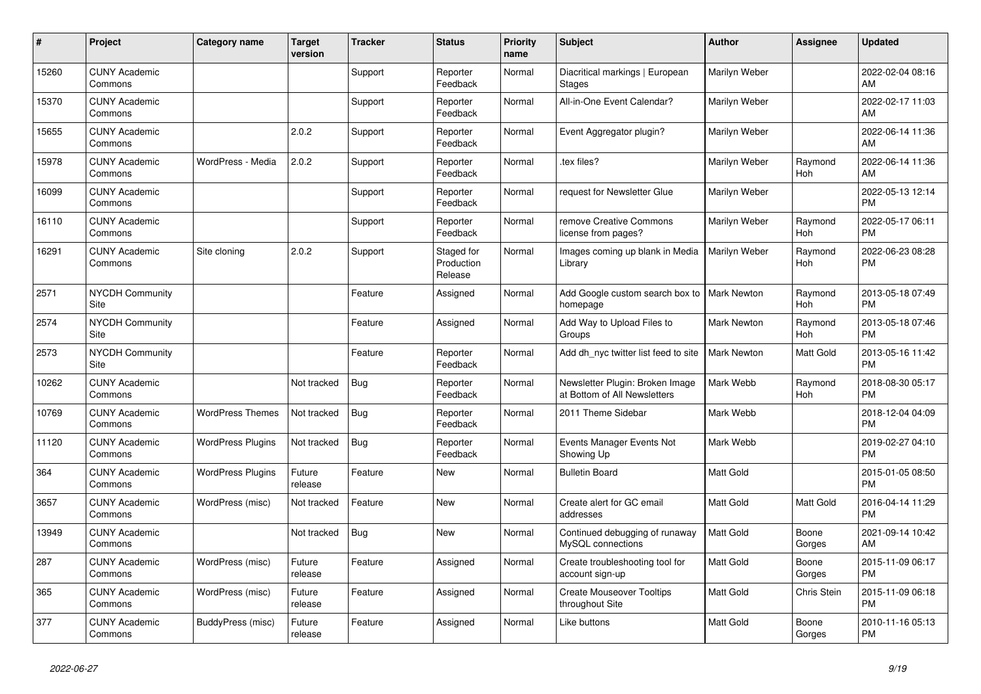| #     | Project                         | <b>Category name</b>     | <b>Target</b><br>version | <b>Tracker</b> | <b>Status</b>                       | <b>Priority</b><br>name | <b>Subject</b>                                                  | <b>Author</b>      | <b>Assignee</b>       | <b>Updated</b>                |
|-------|---------------------------------|--------------------------|--------------------------|----------------|-------------------------------------|-------------------------|-----------------------------------------------------------------|--------------------|-----------------------|-------------------------------|
| 15260 | <b>CUNY Academic</b><br>Commons |                          |                          | Support        | Reporter<br>Feedback                | Normal                  | Diacritical markings   European<br><b>Stages</b>                | Marilyn Weber      |                       | 2022-02-04 08:16<br>AM        |
| 15370 | <b>CUNY Academic</b><br>Commons |                          |                          | Support        | Reporter<br>Feedback                | Normal                  | All-in-One Event Calendar?                                      | Marilyn Weber      |                       | 2022-02-17 11:03<br>AM        |
| 15655 | <b>CUNY Academic</b><br>Commons |                          | 2.0.2                    | Support        | Reporter<br>Feedback                | Normal                  | Event Aggregator plugin?                                        | Marilyn Weber      |                       | 2022-06-14 11:36<br>AM        |
| 15978 | <b>CUNY Academic</b><br>Commons | WordPress - Media        | 2.0.2                    | Support        | Reporter<br>Feedback                | Normal                  | tex files?                                                      | Marilyn Weber      | Raymond<br><b>Hoh</b> | 2022-06-14 11:36<br>AM        |
| 16099 | <b>CUNY Academic</b><br>Commons |                          |                          | Support        | Reporter<br>Feedback                | Normal                  | request for Newsletter Glue                                     | Marilyn Weber      |                       | 2022-05-13 12:14<br><b>PM</b> |
| 16110 | <b>CUNY Academic</b><br>Commons |                          |                          | Support        | Reporter<br>Feedback                | Normal                  | remove Creative Commons<br>license from pages?                  | Marilyn Weber      | Raymond<br><b>Hoh</b> | 2022-05-17 06:11<br><b>PM</b> |
| 16291 | <b>CUNY Academic</b><br>Commons | Site cloning             | 2.0.2                    | Support        | Staged for<br>Production<br>Release | Normal                  | Images coming up blank in Media<br>Library                      | Marilyn Weber      | Raymond<br>Hoh        | 2022-06-23 08:28<br><b>PM</b> |
| 2571  | <b>NYCDH Community</b><br>Site  |                          |                          | Feature        | Assigned                            | Normal                  | Add Google custom search box to<br>homepage                     | <b>Mark Newton</b> | Raymond<br><b>Hoh</b> | 2013-05-18 07:49<br><b>PM</b> |
| 2574  | <b>NYCDH Community</b><br>Site  |                          |                          | Feature        | Assigned                            | Normal                  | Add Way to Upload Files to<br>Groups                            | <b>Mark Newton</b> | Raymond<br>Hoh        | 2013-05-18 07:46<br><b>PM</b> |
| 2573  | <b>NYCDH Community</b><br>Site  |                          |                          | Feature        | Reporter<br>Feedback                | Normal                  | Add dh_nyc twitter list feed to site                            | <b>Mark Newton</b> | Matt Gold             | 2013-05-16 11:42<br><b>PM</b> |
| 10262 | <b>CUNY Academic</b><br>Commons |                          | Not tracked              | <b>Bug</b>     | Reporter<br>Feedback                | Normal                  | Newsletter Plugin: Broken Image<br>at Bottom of All Newsletters | Mark Webb          | Raymond<br>Hoh        | 2018-08-30 05:17<br><b>PM</b> |
| 10769 | <b>CUNY Academic</b><br>Commons | <b>WordPress Themes</b>  | Not tracked              | <b>Bug</b>     | Reporter<br>Feedback                | Normal                  | 2011 Theme Sidebar                                              | Mark Webb          |                       | 2018-12-04 04:09<br><b>PM</b> |
| 11120 | <b>CUNY Academic</b><br>Commons | <b>WordPress Plugins</b> | Not tracked              | <b>Bug</b>     | Reporter<br>Feedback                | Normal                  | Events Manager Events Not<br>Showing Up                         | Mark Webb          |                       | 2019-02-27 04:10<br><b>PM</b> |
| 364   | <b>CUNY Academic</b><br>Commons | <b>WordPress Plugins</b> | Future<br>release        | Feature        | <b>New</b>                          | Normal                  | <b>Bulletin Board</b>                                           | Matt Gold          |                       | 2015-01-05 08:50<br><b>PM</b> |
| 3657  | <b>CUNY Academic</b><br>Commons | WordPress (misc)         | Not tracked              | Feature        | New                                 | Normal                  | Create alert for GC email<br>addresses                          | Matt Gold          | Matt Gold             | 2016-04-14 11:29<br><b>PM</b> |
| 13949 | <b>CUNY Academic</b><br>Commons |                          | Not tracked              | <b>Bug</b>     | <b>New</b>                          | Normal                  | Continued debugging of runaway<br>MySQL connections             | Matt Gold          | Boone<br>Gorges       | 2021-09-14 10:42<br>AM        |
| 287   | <b>CUNY Academic</b><br>Commons | WordPress (misc)         | Future<br>release        | Feature        | Assigned                            | Normal                  | Create troubleshooting tool for<br>account sign-up              | Matt Gold          | Boone<br>Gorges       | 2015-11-09 06:17<br><b>PM</b> |
| 365   | <b>CUNY Academic</b><br>Commons | WordPress (misc)         | Future<br>release        | Feature        | Assigned                            | Normal                  | <b>Create Mouseover Tooltips</b><br>throughout Site             | Matt Gold          | Chris Stein           | 2015-11-09 06:18<br><b>PM</b> |
| 377   | <b>CUNY Academic</b><br>Commons | BuddyPress (misc)        | Future<br>release        | Feature        | Assigned                            | Normal                  | Like buttons                                                    | Matt Gold          | Boone<br>Gorges       | 2010-11-16 05:13<br><b>PM</b> |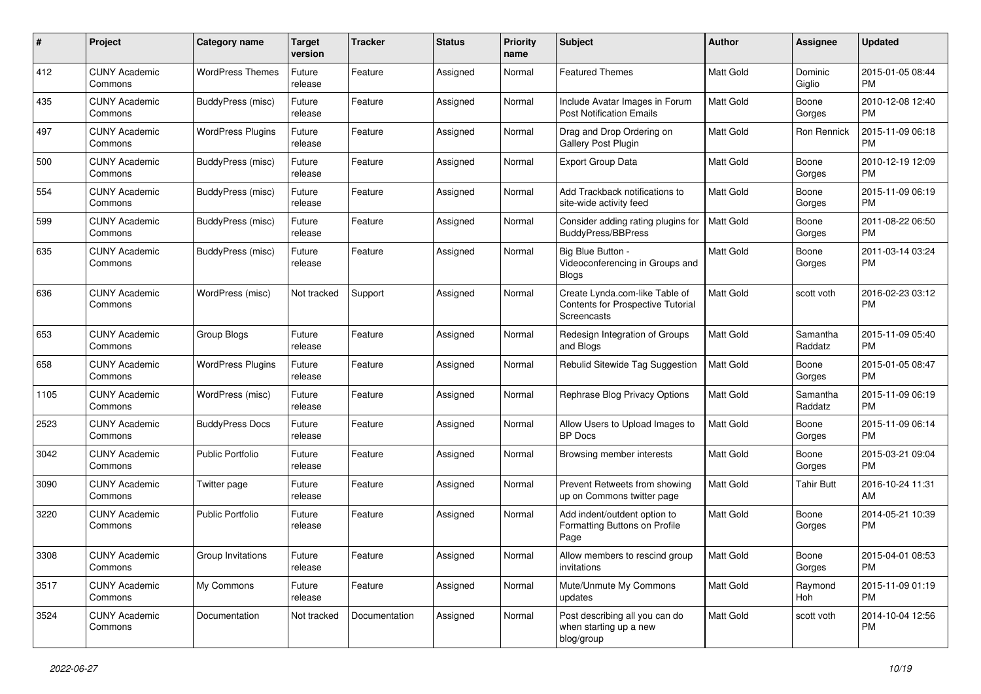| #    | Project                         | <b>Category name</b>     | <b>Target</b><br>version | <b>Tracker</b> | <b>Status</b> | <b>Priority</b><br>name | Subject                                                                                   | Author           | <b>Assignee</b>     | <b>Updated</b>                |
|------|---------------------------------|--------------------------|--------------------------|----------------|---------------|-------------------------|-------------------------------------------------------------------------------------------|------------------|---------------------|-------------------------------|
| 412  | <b>CUNY Academic</b><br>Commons | <b>WordPress Themes</b>  | Future<br>release        | Feature        | Assigned      | Normal                  | <b>Featured Themes</b>                                                                    | <b>Matt Gold</b> | Dominic<br>Giglio   | 2015-01-05 08:44<br><b>PM</b> |
| 435  | <b>CUNY Academic</b><br>Commons | BuddyPress (misc)        | Future<br>release        | Feature        | Assigned      | Normal                  | Include Avatar Images in Forum<br><b>Post Notification Emails</b>                         | Matt Gold        | Boone<br>Gorges     | 2010-12-08 12:40<br><b>PM</b> |
| 497  | <b>CUNY Academic</b><br>Commons | <b>WordPress Plugins</b> | Future<br>release        | Feature        | Assigned      | Normal                  | Drag and Drop Ordering on<br>Gallery Post Plugin                                          | Matt Gold        | Ron Rennick         | 2015-11-09 06:18<br><b>PM</b> |
| 500  | <b>CUNY Academic</b><br>Commons | BuddyPress (misc)        | Future<br>release        | Feature        | Assigned      | Normal                  | <b>Export Group Data</b>                                                                  | Matt Gold        | Boone<br>Gorges     | 2010-12-19 12:09<br><b>PM</b> |
| 554  | <b>CUNY Academic</b><br>Commons | BuddyPress (misc)        | Future<br>release        | Feature        | Assigned      | Normal                  | Add Trackback notifications to<br>site-wide activity feed                                 | <b>Matt Gold</b> | Boone<br>Gorges     | 2015-11-09 06:19<br><b>PM</b> |
| 599  | <b>CUNY Academic</b><br>Commons | BuddyPress (misc)        | Future<br>release        | Feature        | Assigned      | Normal                  | Consider adding rating plugins for<br>BuddyPress/BBPress                                  | <b>Matt Gold</b> | Boone<br>Gorges     | 2011-08-22 06:50<br><b>PM</b> |
| 635  | <b>CUNY Academic</b><br>Commons | BuddyPress (misc)        | Future<br>release        | Feature        | Assigned      | Normal                  | Big Blue Button -<br>Videoconferencing in Groups and<br><b>Blogs</b>                      | Matt Gold        | Boone<br>Gorges     | 2011-03-14 03:24<br><b>PM</b> |
| 636  | <b>CUNY Academic</b><br>Commons | WordPress (misc)         | Not tracked              | Support        | Assigned      | Normal                  | Create Lynda.com-like Table of<br><b>Contents for Prospective Tutorial</b><br>Screencasts | <b>Matt Gold</b> | scott voth          | 2016-02-23 03:12<br><b>PM</b> |
| 653  | <b>CUNY Academic</b><br>Commons | Group Blogs              | Future<br>release        | Feature        | Assigned      | Normal                  | Redesign Integration of Groups<br>and Blogs                                               | Matt Gold        | Samantha<br>Raddatz | 2015-11-09 05:40<br><b>PM</b> |
| 658  | <b>CUNY Academic</b><br>Commons | <b>WordPress Plugins</b> | Future<br>release        | Feature        | Assigned      | Normal                  | Rebulid Sitewide Tag Suggestion                                                           | Matt Gold        | Boone<br>Gorges     | 2015-01-05 08:47<br><b>PM</b> |
| 1105 | CUNY Academic<br>Commons        | WordPress (misc)         | Future<br>release        | Feature        | Assigned      | Normal                  | Rephrase Blog Privacy Options                                                             | <b>Matt Gold</b> | Samantha<br>Raddatz | 2015-11-09 06:19<br><b>PM</b> |
| 2523 | <b>CUNY Academic</b><br>Commons | <b>BuddyPress Docs</b>   | Future<br>release        | Feature        | Assigned      | Normal                  | Allow Users to Upload Images to<br><b>BP</b> Docs                                         | <b>Matt Gold</b> | Boone<br>Gorges     | 2015-11-09 06:14<br><b>PM</b> |
| 3042 | <b>CUNY Academic</b><br>Commons | <b>Public Portfolio</b>  | Future<br>release        | Feature        | Assigned      | Normal                  | Browsing member interests                                                                 | Matt Gold        | Boone<br>Gorges     | 2015-03-21 09:04<br><b>PM</b> |
| 3090 | <b>CUNY Academic</b><br>Commons | Twitter page             | Future<br>release        | Feature        | Assigned      | Normal                  | Prevent Retweets from showing<br>up on Commons twitter page                               | <b>Matt Gold</b> | <b>Tahir Butt</b>   | 2016-10-24 11:31<br>AM        |
| 3220 | <b>CUNY Academic</b><br>Commons | <b>Public Portfolio</b>  | Future<br>release        | Feature        | Assigned      | Normal                  | Add indent/outdent option to<br>Formatting Buttons on Profile<br>Page                     | <b>Matt Gold</b> | Boone<br>Gorges     | 2014-05-21 10:39<br><b>PM</b> |
| 3308 | <b>CUNY Academic</b><br>Commons | Group Invitations        | Future<br>release        | Feature        | Assigned      | Normal                  | Allow members to rescind group<br>invitations                                             | Matt Gold        | Boone<br>Gorges     | 2015-04-01 08:53<br><b>PM</b> |
| 3517 | <b>CUNY Academic</b><br>Commons | My Commons               | Future<br>release        | Feature        | Assigned      | Normal                  | Mute/Unmute My Commons<br>updates                                                         | Matt Gold        | Raymond<br>Hoh      | 2015-11-09 01:19<br><b>PM</b> |
| 3524 | <b>CUNY Academic</b><br>Commons | Documentation            | Not tracked              | Documentation  | Assigned      | Normal                  | Post describing all you can do<br>when starting up a new<br>blog/group                    | Matt Gold        | scott voth          | 2014-10-04 12:56<br><b>PM</b> |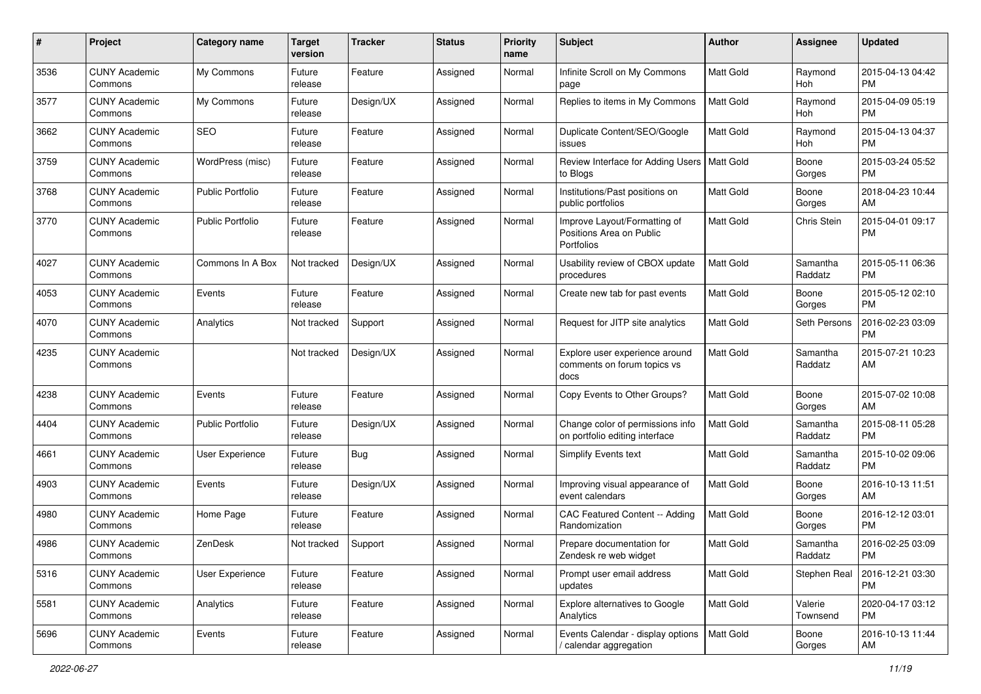| #    | Project                         | <b>Category name</b>    | <b>Target</b><br>version | <b>Tracker</b> | <b>Status</b> | <b>Priority</b><br>name | <b>Subject</b>                                                         | Author           | <b>Assignee</b>     | <b>Updated</b>                |
|------|---------------------------------|-------------------------|--------------------------|----------------|---------------|-------------------------|------------------------------------------------------------------------|------------------|---------------------|-------------------------------|
| 3536 | <b>CUNY Academic</b><br>Commons | My Commons              | Future<br>release        | Feature        | Assigned      | Normal                  | Infinite Scroll on My Commons<br>page                                  | <b>Matt Gold</b> | Raymond<br>Hoh      | 2015-04-13 04:42<br><b>PM</b> |
| 3577 | <b>CUNY Academic</b><br>Commons | My Commons              | Future<br>release        | Design/UX      | Assigned      | Normal                  | Replies to items in My Commons                                         | <b>Matt Gold</b> | Raymond<br>Hoh      | 2015-04-09 05:19<br><b>PM</b> |
| 3662 | <b>CUNY Academic</b><br>Commons | <b>SEO</b>              | Future<br>release        | Feature        | Assigned      | Normal                  | Duplicate Content/SEO/Google<br>issues                                 | Matt Gold        | Raymond<br>Hoh      | 2015-04-13 04:37<br><b>PM</b> |
| 3759 | <b>CUNY Academic</b><br>Commons | WordPress (misc)        | Future<br>release        | Feature        | Assigned      | Normal                  | Review Interface for Adding Users<br>to Blogs                          | <b>Matt Gold</b> | Boone<br>Gorges     | 2015-03-24 05:52<br>PM        |
| 3768 | <b>CUNY Academic</b><br>Commons | <b>Public Portfolio</b> | Future<br>release        | Feature        | Assigned      | Normal                  | Institutions/Past positions on<br>public portfolios                    | <b>Matt Gold</b> | Boone<br>Gorges     | 2018-04-23 10:44<br>AM        |
| 3770 | <b>CUNY Academic</b><br>Commons | <b>Public Portfolio</b> | Future<br>release        | Feature        | Assigned      | Normal                  | Improve Layout/Formatting of<br>Positions Area on Public<br>Portfolios | Matt Gold        | Chris Stein         | 2015-04-01 09:17<br><b>PM</b> |
| 4027 | <b>CUNY Academic</b><br>Commons | Commons In A Box        | Not tracked              | Design/UX      | Assigned      | Normal                  | Usability review of CBOX update<br>procedures                          | Matt Gold        | Samantha<br>Raddatz | 2015-05-11 06:36<br><b>PM</b> |
| 4053 | <b>CUNY Academic</b><br>Commons | Events                  | Future<br>release        | Feature        | Assigned      | Normal                  | Create new tab for past events                                         | Matt Gold        | Boone<br>Gorges     | 2015-05-12 02:10<br><b>PM</b> |
| 4070 | <b>CUNY Academic</b><br>Commons | Analytics               | Not tracked              | Support        | Assigned      | Normal                  | Request for JITP site analytics                                        | <b>Matt Gold</b> | Seth Persons        | 2016-02-23 03:09<br>PM        |
| 4235 | <b>CUNY Academic</b><br>Commons |                         | Not tracked              | Design/UX      | Assigned      | Normal                  | Explore user experience around<br>comments on forum topics vs<br>docs  | <b>Matt Gold</b> | Samantha<br>Raddatz | 2015-07-21 10:23<br>AM        |
| 4238 | <b>CUNY Academic</b><br>Commons | Events                  | Future<br>release        | Feature        | Assigned      | Normal                  | Copy Events to Other Groups?                                           | <b>Matt Gold</b> | Boone<br>Gorges     | 2015-07-02 10:08<br>AM        |
| 4404 | <b>CUNY Academic</b><br>Commons | <b>Public Portfolio</b> | Future<br>release        | Design/UX      | Assigned      | Normal                  | Change color of permissions info<br>on portfolio editing interface     | <b>Matt Gold</b> | Samantha<br>Raddatz | 2015-08-11 05:28<br><b>PM</b> |
| 4661 | <b>CUNY Academic</b><br>Commons | User Experience         | Future<br>release        | Bug            | Assigned      | Normal                  | Simplify Events text                                                   | Matt Gold        | Samantha<br>Raddatz | 2015-10-02 09:06<br><b>PM</b> |
| 4903 | <b>CUNY Academic</b><br>Commons | Events                  | Future<br>release        | Design/UX      | Assigned      | Normal                  | Improving visual appearance of<br>event calendars                      | Matt Gold        | Boone<br>Gorges     | 2016-10-13 11:51<br>AM        |
| 4980 | <b>CUNY Academic</b><br>Commons | Home Page               | Future<br>release        | Feature        | Assigned      | Normal                  | CAC Featured Content -- Adding<br>Randomization                        | <b>Matt Gold</b> | Boone<br>Gorges     | 2016-12-12 03:01<br><b>PM</b> |
| 4986 | <b>CUNY Academic</b><br>Commons | ZenDesk                 | Not tracked              | Support        | Assigned      | Normal                  | Prepare documentation for<br>Zendesk re web widget                     | Matt Gold        | Samantha<br>Raddatz | 2016-02-25 03:09<br>PM        |
| 5316 | <b>CUNY Academic</b><br>Commons | User Experience         | Future<br>release        | Feature        | Assigned      | Normal                  | Prompt user email address<br>updates                                   | Matt Gold        | Stephen Real        | 2016-12-21 03:30<br>PM        |
| 5581 | <b>CUNY Academic</b><br>Commons | Analytics               | Future<br>release        | Feature        | Assigned      | Normal                  | Explore alternatives to Google<br>Analytics                            | Matt Gold        | Valerie<br>Townsend | 2020-04-17 03:12<br><b>PM</b> |
| 5696 | <b>CUNY Academic</b><br>Commons | Events                  | Future<br>release        | Feature        | Assigned      | Normal                  | Events Calendar - display options<br>calendar aggregation              | Matt Gold        | Boone<br>Gorges     | 2016-10-13 11:44<br>AM        |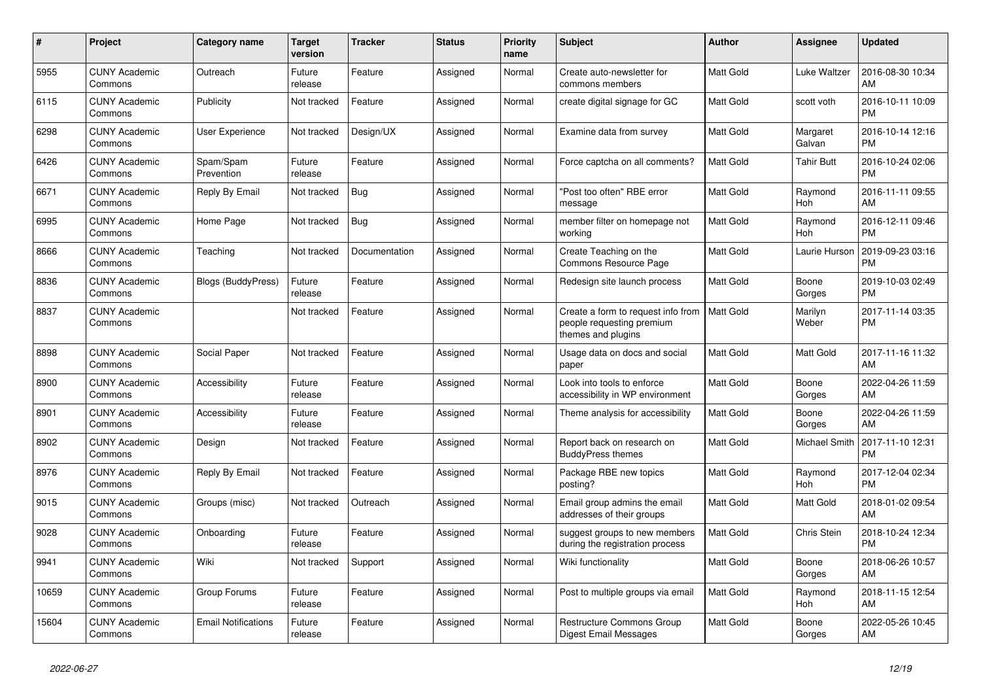| #     | Project                         | Category name              | Target<br>version | Tracker       | <b>Status</b> | <b>Priority</b><br>name | <b>Subject</b>                                                                        | <b>Author</b>    | <b>Assignee</b>    | <b>Updated</b>                |
|-------|---------------------------------|----------------------------|-------------------|---------------|---------------|-------------------------|---------------------------------------------------------------------------------------|------------------|--------------------|-------------------------------|
| 5955  | <b>CUNY Academic</b><br>Commons | Outreach                   | Future<br>release | Feature       | Assigned      | Normal                  | Create auto-newsletter for<br>commons members                                         | <b>Matt Gold</b> | Luke Waltzer       | 2016-08-30 10:34<br>AM        |
| 6115  | <b>CUNY Academic</b><br>Commons | Publicity                  | Not tracked       | Feature       | Assigned      | Normal                  | create digital signage for GC                                                         | <b>Matt Gold</b> | scott voth         | 2016-10-11 10:09<br><b>PM</b> |
| 6298  | <b>CUNY Academic</b><br>Commons | User Experience            | Not tracked       | Design/UX     | Assigned      | Normal                  | Examine data from survey                                                              | <b>Matt Gold</b> | Margaret<br>Galvan | 2016-10-14 12:16<br><b>PM</b> |
| 6426  | <b>CUNY Academic</b><br>Commons | Spam/Spam<br>Prevention    | Future<br>release | Feature       | Assigned      | Normal                  | Force captcha on all comments?                                                        | Matt Gold        | <b>Tahir Butt</b>  | 2016-10-24 02:06<br><b>PM</b> |
| 6671  | <b>CUNY Academic</b><br>Commons | Reply By Email             | Not tracked       | <b>Bug</b>    | Assigned      | Normal                  | "Post too often" RBE error<br>message                                                 | Matt Gold        | Raymond<br>Hoh     | 2016-11-11 09:55<br>AM        |
| 6995  | <b>CUNY Academic</b><br>Commons | Home Page                  | Not tracked       | Bug           | Assigned      | Normal                  | member filter on homepage not<br>working                                              | <b>Matt Gold</b> | Raymond<br>Hoh     | 2016-12-11 09:46<br><b>PM</b> |
| 8666  | <b>CUNY Academic</b><br>Commons | Teaching                   | Not tracked       | Documentation | Assigned      | Normal                  | Create Teaching on the<br>Commons Resource Page                                       | <b>Matt Gold</b> | Laurie Hurson      | 2019-09-23 03:16<br><b>PM</b> |
| 8836  | <b>CUNY Academic</b><br>Commons | <b>Blogs (BuddyPress)</b>  | Future<br>release | Feature       | Assigned      | Normal                  | Redesign site launch process                                                          | <b>Matt Gold</b> | Boone<br>Gorges    | 2019-10-03 02:49<br>PM        |
| 8837  | <b>CUNY Academic</b><br>Commons |                            | Not tracked       | Feature       | Assigned      | Normal                  | Create a form to request info from<br>people requesting premium<br>themes and plugins | <b>Matt Gold</b> | Marilyn<br>Weber   | 2017-11-14 03:35<br><b>PM</b> |
| 8898  | <b>CUNY Academic</b><br>Commons | Social Paper               | Not tracked       | Feature       | Assigned      | Normal                  | Usage data on docs and social<br>paper                                                | <b>Matt Gold</b> | <b>Matt Gold</b>   | 2017-11-16 11:32<br>AM        |
| 8900  | <b>CUNY Academic</b><br>Commons | Accessibility              | Future<br>release | Feature       | Assigned      | Normal                  | Look into tools to enforce<br>accessibility in WP environment                         | <b>Matt Gold</b> | Boone<br>Gorges    | 2022-04-26 11:59<br>AM        |
| 8901  | <b>CUNY Academic</b><br>Commons | Accessibility              | Future<br>release | Feature       | Assigned      | Normal                  | Theme analysis for accessibility                                                      | Matt Gold        | Boone<br>Gorges    | 2022-04-26 11:59<br>AM        |
| 8902  | <b>CUNY Academic</b><br>Commons | Design                     | Not tracked       | Feature       | Assigned      | Normal                  | Report back on research on<br><b>BuddyPress themes</b>                                | <b>Matt Gold</b> | Michael Smith      | 2017-11-10 12:31<br><b>PM</b> |
| 8976  | <b>CUNY Academic</b><br>Commons | Reply By Email             | Not tracked       | Feature       | Assigned      | Normal                  | Package RBE new topics<br>posting?                                                    | <b>Matt Gold</b> | Raymond<br>Hoh     | 2017-12-04 02:34<br><b>PM</b> |
| 9015  | <b>CUNY Academic</b><br>Commons | Groups (misc)              | Not tracked       | Outreach      | Assigned      | Normal                  | Email group admins the email<br>addresses of their groups                             | Matt Gold        | Matt Gold          | 2018-01-02 09:54<br>AM        |
| 9028  | <b>CUNY Academic</b><br>Commons | Onboarding                 | Future<br>release | Feature       | Assigned      | Normal                  | suggest groups to new members<br>during the registration process                      | <b>Matt Gold</b> | Chris Stein        | 2018-10-24 12:34<br><b>PM</b> |
| 9941  | <b>CUNY Academic</b><br>Commons | Wiki                       | Not tracked       | Support       | Assigned      | Normal                  | Wiki functionality                                                                    | <b>Matt Gold</b> | Boone<br>Gorges    | 2018-06-26 10:57<br>AM        |
| 10659 | <b>CUNY Academic</b><br>Commons | Group Forums               | Future<br>release | Feature       | Assigned      | Normal                  | Post to multiple groups via email                                                     | Matt Gold        | Raymond<br>Hoh     | 2018-11-15 12:54<br>AM        |
| 15604 | <b>CUNY Academic</b><br>Commons | <b>Email Notifications</b> | Future<br>release | Feature       | Assigned      | Normal                  | Restructure Commons Group<br><b>Digest Email Messages</b>                             | <b>Matt Gold</b> | Boone<br>Gorges    | 2022-05-26 10:45<br>AM        |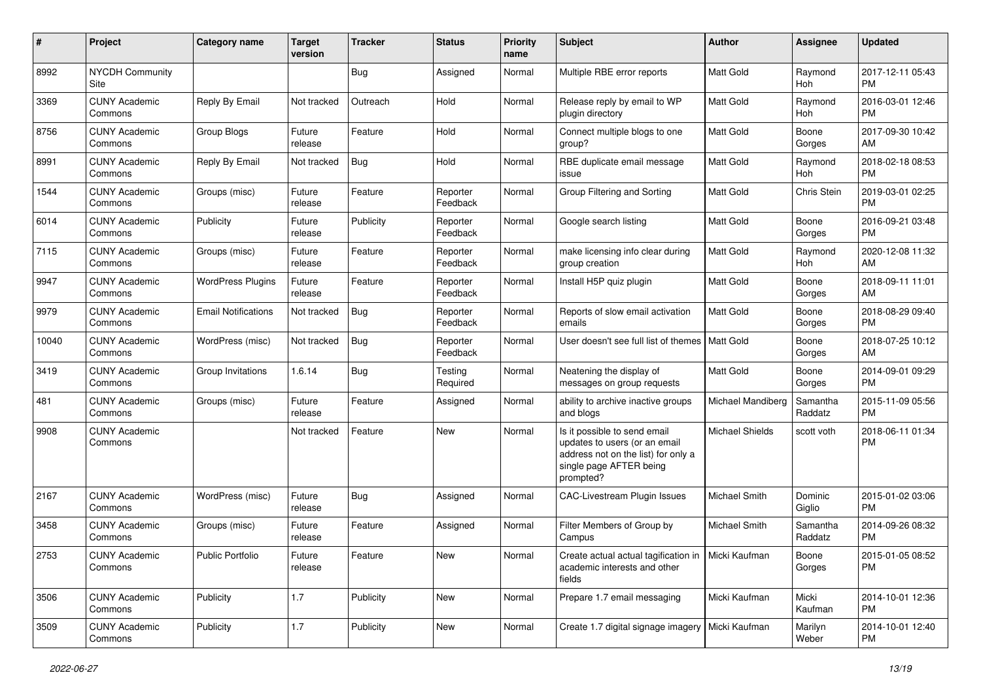| #     | Project                         | <b>Category name</b>       | <b>Target</b><br>version | <b>Tracker</b> | <b>Status</b>        | <b>Priority</b><br>name | <b>Subject</b>                                                                                                                               | <b>Author</b>          | <b>Assignee</b>     | <b>Updated</b>                |
|-------|---------------------------------|----------------------------|--------------------------|----------------|----------------------|-------------------------|----------------------------------------------------------------------------------------------------------------------------------------------|------------------------|---------------------|-------------------------------|
| 8992  | <b>NYCDH Community</b><br>Site  |                            |                          | Bug            | Assigned             | Normal                  | Multiple RBE error reports                                                                                                                   | <b>Matt Gold</b>       | Raymond<br>Hoh      | 2017-12-11 05:43<br><b>PM</b> |
| 3369  | <b>CUNY Academic</b><br>Commons | Reply By Email             | Not tracked              | Outreach       | Hold                 | Normal                  | Release reply by email to WP<br>plugin directory                                                                                             | Matt Gold              | Raymond<br>Hoh      | 2016-03-01 12:46<br><b>PM</b> |
| 8756  | <b>CUNY Academic</b><br>Commons | Group Blogs                | Future<br>release        | Feature        | Hold                 | Normal                  | Connect multiple blogs to one<br>group?                                                                                                      | Matt Gold              | Boone<br>Gorges     | 2017-09-30 10:42<br>AM        |
| 8991  | <b>CUNY Academic</b><br>Commons | Reply By Email             | Not tracked              | Bug            | Hold                 | Normal                  | RBE duplicate email message<br>issue                                                                                                         | Matt Gold              | Raymond<br>Hoh      | 2018-02-18 08:53<br><b>PM</b> |
| 1544  | <b>CUNY Academic</b><br>Commons | Groups (misc)              | Future<br>release        | Feature        | Reporter<br>Feedback | Normal                  | Group Filtering and Sorting                                                                                                                  | <b>Matt Gold</b>       | Chris Stein         | 2019-03-01 02:25<br><b>PM</b> |
| 6014  | <b>CUNY Academic</b><br>Commons | Publicity                  | Future<br>release        | Publicity      | Reporter<br>Feedback | Normal                  | Google search listing                                                                                                                        | <b>Matt Gold</b>       | Boone<br>Gorges     | 2016-09-21 03:48<br><b>PM</b> |
| 7115  | <b>CUNY Academic</b><br>Commons | Groups (misc)              | Future<br>release        | Feature        | Reporter<br>Feedback | Normal                  | make licensing info clear during<br>group creation                                                                                           | Matt Gold              | Raymond<br>Hoh      | 2020-12-08 11:32<br>AM        |
| 9947  | <b>CUNY Academic</b><br>Commons | <b>WordPress Plugins</b>   | Future<br>release        | Feature        | Reporter<br>Feedback | Normal                  | Install H5P quiz plugin                                                                                                                      | <b>Matt Gold</b>       | Boone<br>Gorges     | 2018-09-11 11:01<br>AM        |
| 9979  | <b>CUNY Academic</b><br>Commons | <b>Email Notifications</b> | Not tracked              | Bug            | Reporter<br>Feedback | Normal                  | Reports of slow email activation<br>emails                                                                                                   | Matt Gold              | Boone<br>Gorges     | 2018-08-29 09:40<br><b>PM</b> |
| 10040 | <b>CUNY Academic</b><br>Commons | WordPress (misc)           | Not tracked              | Bug            | Reporter<br>Feedback | Normal                  | User doesn't see full list of themes                                                                                                         | Matt Gold              | Boone<br>Gorges     | 2018-07-25 10:12<br>AM        |
| 3419  | <b>CUNY Academic</b><br>Commons | Group Invitations          | 1.6.14                   | Bug            | Testing<br>Required  | Normal                  | Neatening the display of<br>messages on group requests                                                                                       | Matt Gold              | Boone<br>Gorges     | 2014-09-01 09:29<br><b>PM</b> |
| 481   | <b>CUNY Academic</b><br>Commons | Groups (misc)              | Future<br>release        | Feature        | Assigned             | Normal                  | ability to archive inactive groups<br>and blogs                                                                                              | Michael Mandiberg      | Samantha<br>Raddatz | 2015-11-09 05:56<br><b>PM</b> |
| 9908  | <b>CUNY Academic</b><br>Commons |                            | Not tracked              | Feature        | New                  | Normal                  | Is it possible to send email<br>updates to users (or an email<br>address not on the list) for only a<br>single page AFTER being<br>prompted? | <b>Michael Shields</b> | scott voth          | 2018-06-11 01:34<br><b>PM</b> |
| 2167  | <b>CUNY Academic</b><br>Commons | WordPress (misc)           | Future<br>release        | Bug            | Assigned             | Normal                  | <b>CAC-Livestream Plugin Issues</b>                                                                                                          | Michael Smith          | Dominic<br>Giglio   | 2015-01-02 03:06<br><b>PM</b> |
| 3458  | <b>CUNY Academic</b><br>Commons | Groups (misc)              | Future<br>release        | Feature        | Assigned             | Normal                  | Filter Members of Group by<br>Campus                                                                                                         | Michael Smith          | Samantha<br>Raddatz | 2014-09-26 08:32<br><b>PM</b> |
| 2753  | <b>CUNY Academic</b><br>Commons | Public Portfolio           | Future<br>release        | Feature        | New                  | Normal                  | Create actual actual tagification in   Micki Kaufman<br>academic interests and other<br>fields                                               |                        | Boone<br>Gorges     | 2015-01-05 08:52<br><b>PM</b> |
| 3506  | <b>CUNY Academic</b><br>Commons | Publicity                  | 1.7                      | Publicity      | New                  | Normal                  | Prepare 1.7 email messaging                                                                                                                  | Micki Kaufman          | Micki<br>Kaufman    | 2014-10-01 12:36<br><b>PM</b> |
| 3509  | <b>CUNY Academic</b><br>Commons | Publicity                  | 1.7                      | Publicity      | New                  | Normal                  | Create 1.7 digital signage imagery                                                                                                           | Micki Kaufman          | Marilyn<br>Weber    | 2014-10-01 12:40<br>PM        |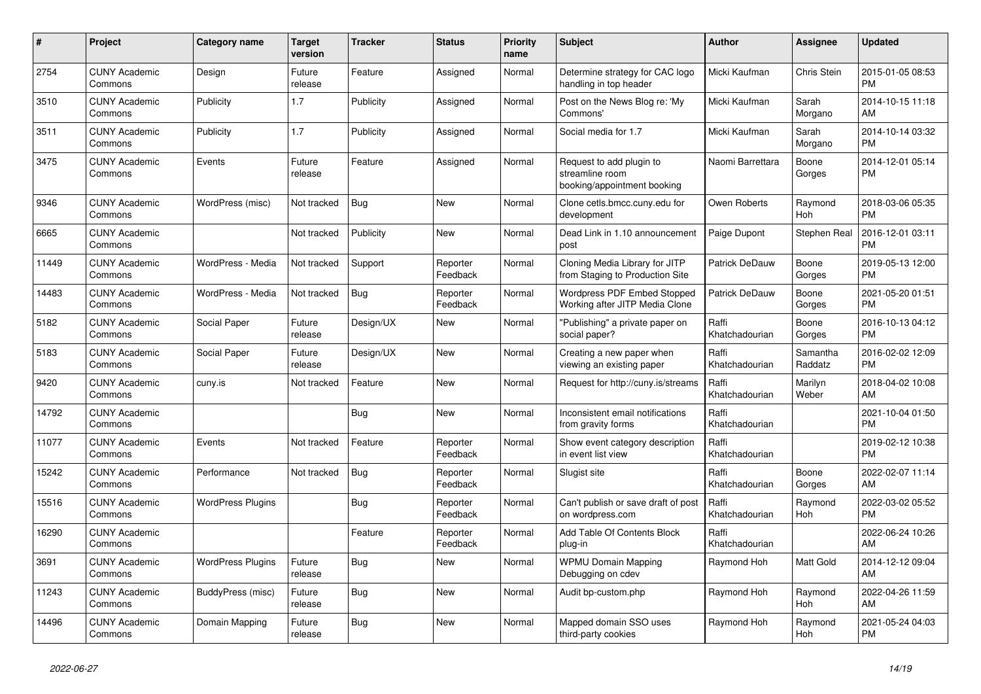| #     | Project                         | <b>Category name</b>     | <b>Target</b><br>version | <b>Tracker</b> | <b>Status</b>        | <b>Priority</b><br>name | <b>Subject</b>                                                             | <b>Author</b>           | Assignee            | <b>Updated</b>                |
|-------|---------------------------------|--------------------------|--------------------------|----------------|----------------------|-------------------------|----------------------------------------------------------------------------|-------------------------|---------------------|-------------------------------|
| 2754  | <b>CUNY Academic</b><br>Commons | Design                   | Future<br>release        | Feature        | Assigned             | Normal                  | Determine strategy for CAC logo<br>handling in top header                  | Micki Kaufman           | Chris Stein         | 2015-01-05 08:53<br><b>PM</b> |
| 3510  | <b>CUNY Academic</b><br>Commons | Publicity                | 1.7                      | Publicity      | Assigned             | Normal                  | Post on the News Blog re: 'My<br>Commons'                                  | Micki Kaufman           | Sarah<br>Morgano    | 2014-10-15 11:18<br>AM        |
| 3511  | <b>CUNY Academic</b><br>Commons | Publicity                | 1.7                      | Publicity      | Assigned             | Normal                  | Social media for 1.7                                                       | Micki Kaufman           | Sarah<br>Morgano    | 2014-10-14 03:32<br><b>PM</b> |
| 3475  | <b>CUNY Academic</b><br>Commons | Events                   | Future<br>release        | Feature        | Assigned             | Normal                  | Request to add plugin to<br>streamline room<br>booking/appointment booking | Naomi Barrettara        | Boone<br>Gorges     | 2014-12-01 05:14<br><b>PM</b> |
| 9346  | <b>CUNY Academic</b><br>Commons | WordPress (misc)         | Not tracked              | Bug            | <b>New</b>           | Normal                  | Clone cetls.bmcc.cuny.edu for<br>development                               | Owen Roberts            | Raymond<br>Hoh      | 2018-03-06 05:35<br><b>PM</b> |
| 6665  | <b>CUNY Academic</b><br>Commons |                          | Not tracked              | Publicity      | <b>New</b>           | Normal                  | Dead Link in 1.10 announcement<br>post                                     | Paige Dupont            | <b>Stephen Real</b> | 2016-12-01 03:11<br><b>PM</b> |
| 11449 | <b>CUNY Academic</b><br>Commons | WordPress - Media        | Not tracked              | Support        | Reporter<br>Feedback | Normal                  | Cloning Media Library for JITP<br>from Staging to Production Site          | Patrick DeDauw          | Boone<br>Gorges     | 2019-05-13 12:00<br><b>PM</b> |
| 14483 | <b>CUNY Academic</b><br>Commons | WordPress - Media        | Not tracked              | Bug            | Reporter<br>Feedback | Normal                  | <b>Wordpress PDF Embed Stopped</b><br>Working after JITP Media Clone       | Patrick DeDauw          | Boone<br>Gorges     | 2021-05-20 01:51<br><b>PM</b> |
| 5182  | <b>CUNY Academic</b><br>Commons | Social Paper             | Future<br>release        | Design/UX      | <b>New</b>           | Normal                  | "Publishing" a private paper on<br>social paper?                           | Raffi<br>Khatchadourian | Boone<br>Gorges     | 2016-10-13 04:12<br><b>PM</b> |
| 5183  | <b>CUNY Academic</b><br>Commons | Social Paper             | Future<br>release        | Design/UX      | <b>New</b>           | Normal                  | Creating a new paper when<br>viewing an existing paper                     | Raffi<br>Khatchadourian | Samantha<br>Raddatz | 2016-02-02 12:09<br><b>PM</b> |
| 9420  | <b>CUNY Academic</b><br>Commons | cuny.is                  | Not tracked              | Feature        | <b>New</b>           | Normal                  | Request for http://cuny.is/streams                                         | Raffi<br>Khatchadourian | Marilyn<br>Weber    | 2018-04-02 10:08<br>AM        |
| 14792 | <b>CUNY Academic</b><br>Commons |                          |                          | Bug            | <b>New</b>           | Normal                  | Inconsistent email notifications<br>from gravity forms                     | Raffi<br>Khatchadourian |                     | 2021-10-04 01:50<br><b>PM</b> |
| 11077 | <b>CUNY Academic</b><br>Commons | Events                   | Not tracked              | Feature        | Reporter<br>Feedback | Normal                  | Show event category description<br>in event list view                      | Raffi<br>Khatchadourian |                     | 2019-02-12 10:38<br><b>PM</b> |
| 15242 | <b>CUNY Academic</b><br>Commons | Performance              | Not tracked              | <b>Bug</b>     | Reporter<br>Feedback | Normal                  | Slugist site                                                               | Raffi<br>Khatchadourian | Boone<br>Gorges     | 2022-02-07 11:14<br>AM        |
| 15516 | <b>CUNY Academic</b><br>Commons | <b>WordPress Plugins</b> |                          | Bug            | Reporter<br>Feedback | Normal                  | Can't publish or save draft of post<br>on wordpress.com                    | Raffi<br>Khatchadourian | Raymond<br>Hoh      | 2022-03-02 05:52<br><b>PM</b> |
| 16290 | <b>CUNY Academic</b><br>Commons |                          |                          | Feature        | Reporter<br>Feedback | Normal                  | Add Table Of Contents Block<br>plug-in                                     | Raffi<br>Khatchadourian |                     | 2022-06-24 10:26<br>AM        |
| 3691  | <b>CUNY Academic</b><br>Commons | <b>WordPress Plugins</b> | Future<br>release        | <b>Bug</b>     | <b>New</b>           | Normal                  | <b>WPMU Domain Mapping</b><br>Debugging on cdev                            | Raymond Hoh             | Matt Gold           | 2014-12-12 09:04<br>AM        |
| 11243 | <b>CUNY Academic</b><br>Commons | BuddyPress (misc)        | Future<br>release        | Bug            | <b>New</b>           | Normal                  | Audit bp-custom.php                                                        | Raymond Hoh             | Raymond<br>Hoh      | 2022-04-26 11:59<br>AM        |
| 14496 | <b>CUNY Academic</b><br>Commons | Domain Mapping           | Future<br>release        | <b>Bug</b>     | <b>New</b>           | Normal                  | Mapped domain SSO uses<br>third-party cookies                              | Raymond Hoh             | Raymond<br>Hoh      | 2021-05-24 04:03<br><b>PM</b> |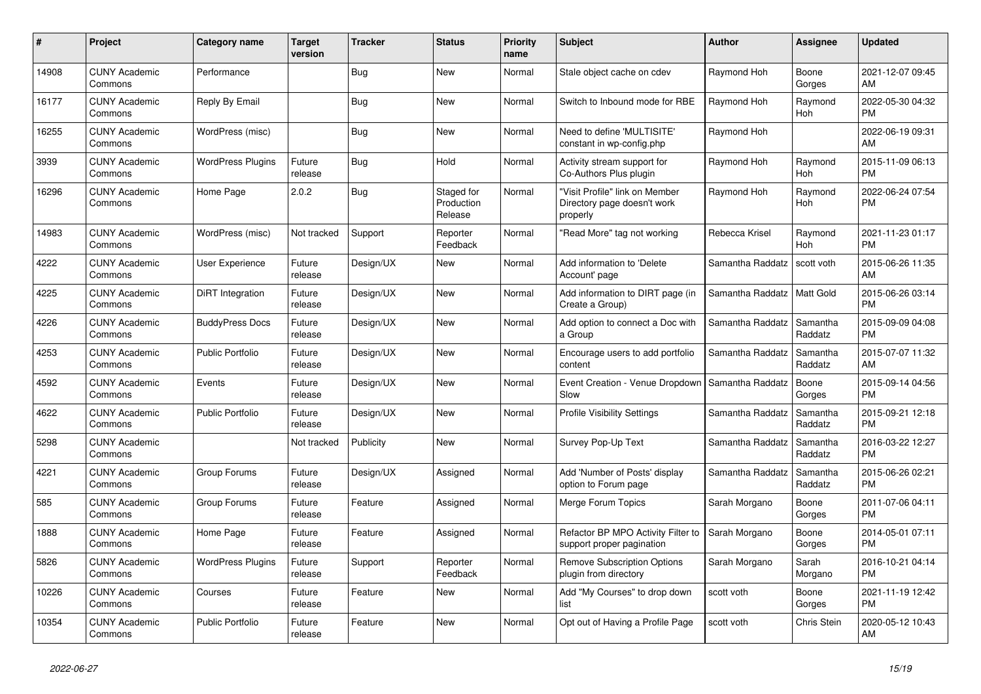| #     | Project                         | Category name            | <b>Target</b><br>version | <b>Tracker</b> | <b>Status</b>                       | <b>Priority</b><br>name | <b>Subject</b>                                                            | <b>Author</b>    | <b>Assignee</b>       | <b>Updated</b>                |
|-------|---------------------------------|--------------------------|--------------------------|----------------|-------------------------------------|-------------------------|---------------------------------------------------------------------------|------------------|-----------------------|-------------------------------|
| 14908 | <b>CUNY Academic</b><br>Commons | Performance              |                          | <b>Bug</b>     | <b>New</b>                          | Normal                  | Stale object cache on cdev                                                | Raymond Hoh      | Boone<br>Gorges       | 2021-12-07 09:45<br>AM        |
| 16177 | <b>CUNY Academic</b><br>Commons | Reply By Email           |                          | <b>Bug</b>     | <b>New</b>                          | Normal                  | Switch to Inbound mode for RBE                                            | Raymond Hoh      | Raymond<br>Hoh        | 2022-05-30 04:32<br><b>PM</b> |
| 16255 | <b>CUNY Academic</b><br>Commons | WordPress (misc)         |                          | <b>Bug</b>     | <b>New</b>                          | Normal                  | Need to define 'MULTISITE'<br>constant in wp-config.php                   | Raymond Hoh      |                       | 2022-06-19 09:31<br>AM        |
| 3939  | <b>CUNY Academic</b><br>Commons | <b>WordPress Plugins</b> | Future<br>release        | <b>Bug</b>     | Hold                                | Normal                  | Activity stream support for<br>Co-Authors Plus plugin                     | Raymond Hoh      | Raymond<br>Hoh        | 2015-11-09 06:13<br><b>PM</b> |
| 16296 | <b>CUNY Academic</b><br>Commons | Home Page                | 2.0.2                    | Bug            | Staged for<br>Production<br>Release | Normal                  | 'Visit Profile" link on Member<br>Directory page doesn't work<br>properly | Raymond Hoh      | Raymond<br>Hoh        | 2022-06-24 07:54<br><b>PM</b> |
| 14983 | <b>CUNY Academic</b><br>Commons | WordPress (misc)         | Not tracked              | Support        | Reporter<br>Feedback                | Normal                  | 'Read More" tag not working                                               | Rebecca Krisel   | Raymond<br><b>Hoh</b> | 2021-11-23 01:17<br><b>PM</b> |
| 4222  | <b>CUNY Academic</b><br>Commons | User Experience          | Future<br>release        | Design/UX      | <b>New</b>                          | Normal                  | Add information to 'Delete<br>Account' page                               | Samantha Raddatz | scott voth            | 2015-06-26 11:35<br>AM        |
| 4225  | <b>CUNY Academic</b><br>Commons | DiRT Integration         | Future<br>release        | Design/UX      | <b>New</b>                          | Normal                  | Add information to DIRT page (in<br>Create a Group)                       | Samantha Raddatz | Matt Gold             | 2015-06-26 03:14<br><b>PM</b> |
| 4226  | <b>CUNY Academic</b><br>Commons | <b>BuddyPress Docs</b>   | Future<br>release        | Design/UX      | <b>New</b>                          | Normal                  | Add option to connect a Doc with<br>a Group                               | Samantha Raddatz | Samantha<br>Raddatz   | 2015-09-09 04:08<br><b>PM</b> |
| 4253  | <b>CUNY Academic</b><br>Commons | <b>Public Portfolio</b>  | Future<br>release        | Design/UX      | <b>New</b>                          | Normal                  | Encourage users to add portfolio<br>content                               | Samantha Raddatz | Samantha<br>Raddatz   | 2015-07-07 11:32<br>AM        |
| 4592  | <b>CUNY Academic</b><br>Commons | Events                   | Future<br>release        | Design/UX      | <b>New</b>                          | Normal                  | Event Creation - Venue Dropdown<br>Slow                                   | Samantha Raddatz | Boone<br>Gorges       | 2015-09-14 04:56<br><b>PM</b> |
| 4622  | <b>CUNY Academic</b><br>Commons | <b>Public Portfolio</b>  | Future<br>release        | Design/UX      | New                                 | Normal                  | Profile Visibility Settings                                               | Samantha Raddatz | Samantha<br>Raddatz   | 2015-09-21 12:18<br><b>PM</b> |
| 5298  | <b>CUNY Academic</b><br>Commons |                          | Not tracked              | Publicity      | New                                 | Normal                  | Survey Pop-Up Text                                                        | Samantha Raddatz | Samantha<br>Raddatz   | 2016-03-22 12:27<br><b>PM</b> |
| 4221  | <b>CUNY Academic</b><br>Commons | Group Forums             | Future<br>release        | Design/UX      | Assigned                            | Normal                  | Add 'Number of Posts' display<br>option to Forum page                     | Samantha Raddatz | Samantha<br>Raddatz   | 2015-06-26 02:21<br><b>PM</b> |
| 585   | <b>CUNY Academic</b><br>Commons | Group Forums             | Future<br>release        | Feature        | Assigned                            | Normal                  | Merge Forum Topics                                                        | Sarah Morgano    | Boone<br>Gorges       | 2011-07-06 04:11<br><b>PM</b> |
| 1888  | <b>CUNY Academic</b><br>Commons | Home Page                | Future<br>release        | Feature        | Assigned                            | Normal                  | Refactor BP MPO Activity Filter to<br>support proper pagination           | Sarah Morgano    | Boone<br>Gorges       | 2014-05-01 07:11<br><b>PM</b> |
| 5826  | <b>CUNY Academic</b><br>Commons | <b>WordPress Plugins</b> | Future<br>release        | Support        | Reporter<br>Feedback                | Normal                  | <b>Remove Subscription Options</b><br>plugin from directory               | Sarah Morgano    | Sarah<br>Morgano      | 2016-10-21 04:14<br><b>PM</b> |
| 10226 | <b>CUNY Academic</b><br>Commons | Courses                  | Future<br>release        | Feature        | <b>New</b>                          | Normal                  | Add "My Courses" to drop down<br>list                                     | scott voth       | Boone<br>Gorges       | 2021-11-19 12:42<br><b>PM</b> |
| 10354 | <b>CUNY Academic</b><br>Commons | <b>Public Portfolio</b>  | Future<br>release        | Feature        | <b>New</b>                          | Normal                  | Opt out of Having a Profile Page                                          | scott voth       | Chris Stein           | 2020-05-12 10:43<br>AM        |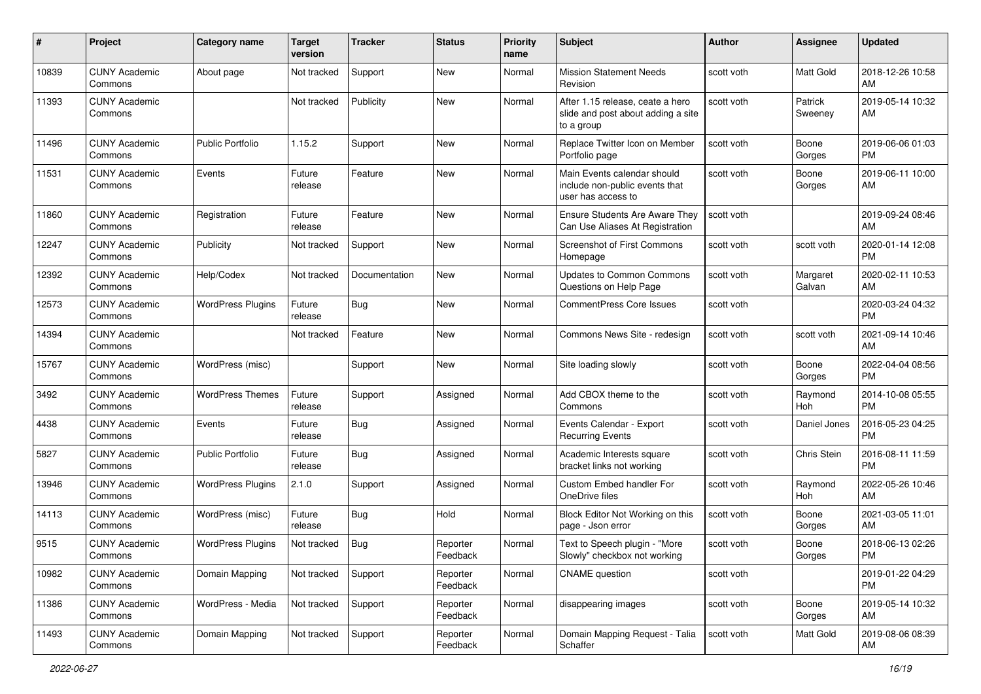| #     | Project                         | <b>Category name</b>     | <b>Target</b><br>version | <b>Tracker</b> | <b>Status</b>        | <b>Priority</b><br>name | Subject                                                                              | <b>Author</b> | Assignee              | <b>Updated</b>                |
|-------|---------------------------------|--------------------------|--------------------------|----------------|----------------------|-------------------------|--------------------------------------------------------------------------------------|---------------|-----------------------|-------------------------------|
| 10839 | <b>CUNY Academic</b><br>Commons | About page               | Not tracked              | Support        | New                  | Normal                  | <b>Mission Statement Needs</b><br>Revision                                           | scott voth    | Matt Gold             | 2018-12-26 10:58<br>AM        |
| 11393 | <b>CUNY Academic</b><br>Commons |                          | Not tracked              | Publicity      | New                  | Normal                  | After 1.15 release, ceate a hero<br>slide and post about adding a site<br>to a group | scott voth    | Patrick<br>Sweeney    | 2019-05-14 10:32<br>AM        |
| 11496 | <b>CUNY Academic</b><br>Commons | Public Portfolio         | 1.15.2                   | Support        | New                  | Normal                  | Replace Twitter Icon on Member<br>Portfolio page                                     | scott voth    | Boone<br>Gorges       | 2019-06-06 01:03<br><b>PM</b> |
| 11531 | <b>CUNY Academic</b><br>Commons | Events                   | Future<br>release        | Feature        | New                  | Normal                  | Main Events calendar should<br>include non-public events that<br>user has access to  | scott voth    | Boone<br>Gorges       | 2019-06-11 10:00<br>AM        |
| 11860 | <b>CUNY Academic</b><br>Commons | Registration             | Future<br>release        | Feature        | New                  | Normal                  | Ensure Students Are Aware They<br>Can Use Aliases At Registration                    | scott voth    |                       | 2019-09-24 08:46<br>AM        |
| 12247 | <b>CUNY Academic</b><br>Commons | Publicity                | Not tracked              | Support        | New                  | Normal                  | Screenshot of First Commons<br>Homepage                                              | scott voth    | scott voth            | 2020-01-14 12:08<br><b>PM</b> |
| 12392 | <b>CUNY Academic</b><br>Commons | Help/Codex               | Not tracked              | Documentation  | <b>New</b>           | Normal                  | <b>Updates to Common Commons</b><br>Questions on Help Page                           | scott voth    | Margaret<br>Galvan    | 2020-02-11 10:53<br>AM        |
| 12573 | <b>CUNY Academic</b><br>Commons | <b>WordPress Plugins</b> | Future<br>release        | <b>Bug</b>     | New                  | Normal                  | CommentPress Core Issues                                                             | scott voth    |                       | 2020-03-24 04:32<br><b>PM</b> |
| 14394 | <b>CUNY Academic</b><br>Commons |                          | Not tracked              | Feature        | New                  | Normal                  | Commons News Site - redesign                                                         | scott voth    | scott voth            | 2021-09-14 10:46<br>AM        |
| 15767 | <b>CUNY Academic</b><br>Commons | WordPress (misc)         |                          | Support        | New                  | Normal                  | Site loading slowly                                                                  | scott voth    | Boone<br>Gorges       | 2022-04-04 08:56<br><b>PM</b> |
| 3492  | <b>CUNY Academic</b><br>Commons | <b>WordPress Themes</b>  | Future<br>release        | Support        | Assigned             | Normal                  | Add CBOX theme to the<br>Commons                                                     | scott voth    | Raymond<br>Hoh        | 2014-10-08 05:55<br><b>PM</b> |
| 4438  | <b>CUNY Academic</b><br>Commons | Events                   | Future<br>release        | <b>Bug</b>     | Assigned             | Normal                  | Events Calendar - Export<br><b>Recurring Events</b>                                  | scott voth    | Daniel Jones          | 2016-05-23 04:25<br><b>PM</b> |
| 5827  | <b>CUNY Academic</b><br>Commons | <b>Public Portfolio</b>  | Future<br>release        | <b>Bug</b>     | Assigned             | Normal                  | Academic Interests square<br>bracket links not working                               | scott voth    | Chris Stein           | 2016-08-11 11:59<br>PM        |
| 13946 | <b>CUNY Academic</b><br>Commons | <b>WordPress Plugins</b> | 2.1.0                    | Support        | Assigned             | Normal                  | <b>Custom Embed handler For</b><br>OneDrive files                                    | scott voth    | Raymond<br><b>Hoh</b> | 2022-05-26 10:46<br>AM        |
| 14113 | <b>CUNY Academic</b><br>Commons | WordPress (misc)         | Future<br>release        | Bug            | Hold                 | Normal                  | Block Editor Not Working on this<br>page - Json error                                | scott voth    | Boone<br>Gorges       | 2021-03-05 11:01<br>AM        |
| 9515  | <b>CUNY Academic</b><br>Commons | <b>WordPress Plugins</b> | Not tracked              | Bug            | Reporter<br>Feedback | Normal                  | Text to Speech plugin - "More<br>Slowly" checkbox not working                        | scott voth    | Boone<br>Gorges       | 2018-06-13 02:26<br>PM        |
| 10982 | <b>CUNY Academic</b><br>Commons | Domain Mapping           | Not tracked              | Support        | Reporter<br>Feedback | Normal                  | <b>CNAME</b> question                                                                | scott voth    |                       | 2019-01-22 04:29<br>PM        |
| 11386 | <b>CUNY Academic</b><br>Commons | WordPress - Media        | Not tracked              | Support        | Reporter<br>Feedback | Normal                  | disappearing images                                                                  | scott voth    | Boone<br>Gorges       | 2019-05-14 10:32<br>AM        |
| 11493 | <b>CUNY Academic</b><br>Commons | Domain Mapping           | Not tracked              | Support        | Reporter<br>Feedback | Normal                  | Domain Mapping Request - Talia<br>Schaffer                                           | scott voth    | Matt Gold             | 2019-08-06 08:39<br>AM        |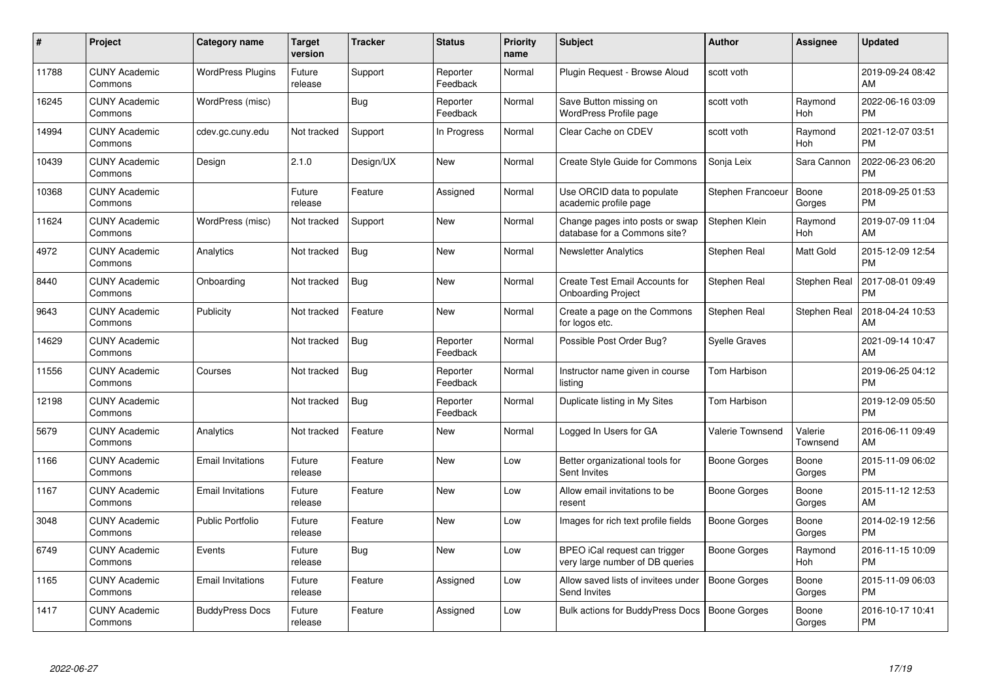| #     | Project                         | <b>Category name</b>     | <b>Target</b><br>version | <b>Tracker</b> | <b>Status</b>        | <b>Priority</b><br>name | <b>Subject</b>                                                   | <b>Author</b>        | <b>Assignee</b>       | <b>Updated</b>                |
|-------|---------------------------------|--------------------------|--------------------------|----------------|----------------------|-------------------------|------------------------------------------------------------------|----------------------|-----------------------|-------------------------------|
| 11788 | <b>CUNY Academic</b><br>Commons | <b>WordPress Plugins</b> | Future<br>release        | Support        | Reporter<br>Feedback | Normal                  | Plugin Reguest - Browse Aloud                                    | scott voth           |                       | 2019-09-24 08:42<br>AM        |
| 16245 | <b>CUNY Academic</b><br>Commons | WordPress (misc)         |                          | Bug            | Reporter<br>Feedback | Normal                  | Save Button missing on<br><b>WordPress Profile page</b>          | scott voth           | Raymond<br><b>Hoh</b> | 2022-06-16 03:09<br><b>PM</b> |
| 14994 | <b>CUNY Academic</b><br>Commons | cdev.gc.cuny.edu         | Not tracked              | Support        | In Progress          | Normal                  | Clear Cache on CDEV                                              | scott voth           | Raymond<br>Hoh        | 2021-12-07 03:51<br><b>PM</b> |
| 10439 | <b>CUNY Academic</b><br>Commons | Design                   | 2.1.0                    | Design/UX      | <b>New</b>           | Normal                  | <b>Create Style Guide for Commons</b>                            | Sonja Leix           | Sara Cannon           | 2022-06-23 06:20<br><b>PM</b> |
| 10368 | <b>CUNY Academic</b><br>Commons |                          | Future<br>release        | Feature        | Assigned             | Normal                  | Use ORCID data to populate<br>academic profile page              | Stephen Francoeur    | Boone<br>Gorges       | 2018-09-25 01:53<br><b>PM</b> |
| 11624 | <b>CUNY Academic</b><br>Commons | WordPress (misc)         | Not tracked              | Support        | <b>New</b>           | Normal                  | Change pages into posts or swap<br>database for a Commons site?  | Stephen Klein        | Raymond<br>Hoh        | 2019-07-09 11:04<br>AM        |
| 4972  | <b>CUNY Academic</b><br>Commons | Analytics                | Not tracked              | Bug            | <b>New</b>           | Normal                  | <b>Newsletter Analytics</b>                                      | Stephen Real         | Matt Gold             | 2015-12-09 12:54<br><b>PM</b> |
| 8440  | <b>CUNY Academic</b><br>Commons | Onboarding               | Not tracked              | Bug            | New                  | Normal                  | Create Test Email Accounts for<br><b>Onboarding Project</b>      | Stephen Real         | <b>Stephen Real</b>   | 2017-08-01 09:49<br><b>PM</b> |
| 9643  | <b>CUNY Academic</b><br>Commons | Publicity                | Not tracked              | Feature        | <b>New</b>           | Normal                  | Create a page on the Commons<br>for logos etc.                   | Stephen Real         | Stephen Real          | 2018-04-24 10:53<br>AM        |
| 14629 | <b>CUNY Academic</b><br>Commons |                          | Not tracked              | Bug            | Reporter<br>Feedback | Normal                  | Possible Post Order Bug?                                         | <b>Syelle Graves</b> |                       | 2021-09-14 10:47<br>AM        |
| 11556 | <b>CUNY Academic</b><br>Commons | Courses                  | Not tracked              | Bug            | Reporter<br>Feedback | Normal                  | Instructor name given in course<br>listing                       | Tom Harbison         |                       | 2019-06-25 04:12<br><b>PM</b> |
| 12198 | <b>CUNY Academic</b><br>Commons |                          | Not tracked              | <b>Bug</b>     | Reporter<br>Feedback | Normal                  | Duplicate listing in My Sites                                    | Tom Harbison         |                       | 2019-12-09 05:50<br><b>PM</b> |
| 5679  | <b>CUNY Academic</b><br>Commons | Analytics                | Not tracked              | Feature        | <b>New</b>           | Normal                  | Logged In Users for GA                                           | Valerie Townsend     | Valerie<br>Townsend   | 2016-06-11 09:49<br>AM        |
| 1166  | <b>CUNY Academic</b><br>Commons | <b>Email Invitations</b> | Future<br>release        | Feature        | <b>New</b>           | Low                     | Better organizational tools for<br>Sent Invites                  | Boone Gorges         | Boone<br>Gorges       | 2015-11-09 06:02<br><b>PM</b> |
| 1167  | <b>CUNY Academic</b><br>Commons | <b>Email Invitations</b> | Future<br>release        | Feature        | <b>New</b>           | Low                     | Allow email invitations to be<br>resent                          | Boone Gorges         | Boone<br>Gorges       | 2015-11-12 12:53<br>AM        |
| 3048  | <b>CUNY Academic</b><br>Commons | <b>Public Portfolio</b>  | Future<br>release        | Feature        | <b>New</b>           | Low                     | Images for rich text profile fields                              | Boone Gorges         | Boone<br>Gorges       | 2014-02-19 12:56<br><b>PM</b> |
| 6749  | <b>CUNY Academic</b><br>Commons | Events                   | Future<br>release        | Bug            | <b>New</b>           | Low                     | BPEO iCal request can trigger<br>very large number of DB queries | Boone Gorges         | Raymond<br><b>Hoh</b> | 2016-11-15 10:09<br><b>PM</b> |
| 1165  | <b>CUNY Academic</b><br>Commons | <b>Email Invitations</b> | Future<br>release        | Feature        | Assigned             | Low                     | Allow saved lists of invitees under<br>Send Invites              | Boone Gorges         | Boone<br>Gorges       | 2015-11-09 06:03<br><b>PM</b> |
| 1417  | <b>CUNY Academic</b><br>Commons | <b>BuddyPress Docs</b>   | Future<br>release        | Feature        | Assigned             | Low                     | Bulk actions for BuddyPress Docs                                 | <b>Boone Gorges</b>  | Boone<br>Gorges       | 2016-10-17 10:41<br><b>PM</b> |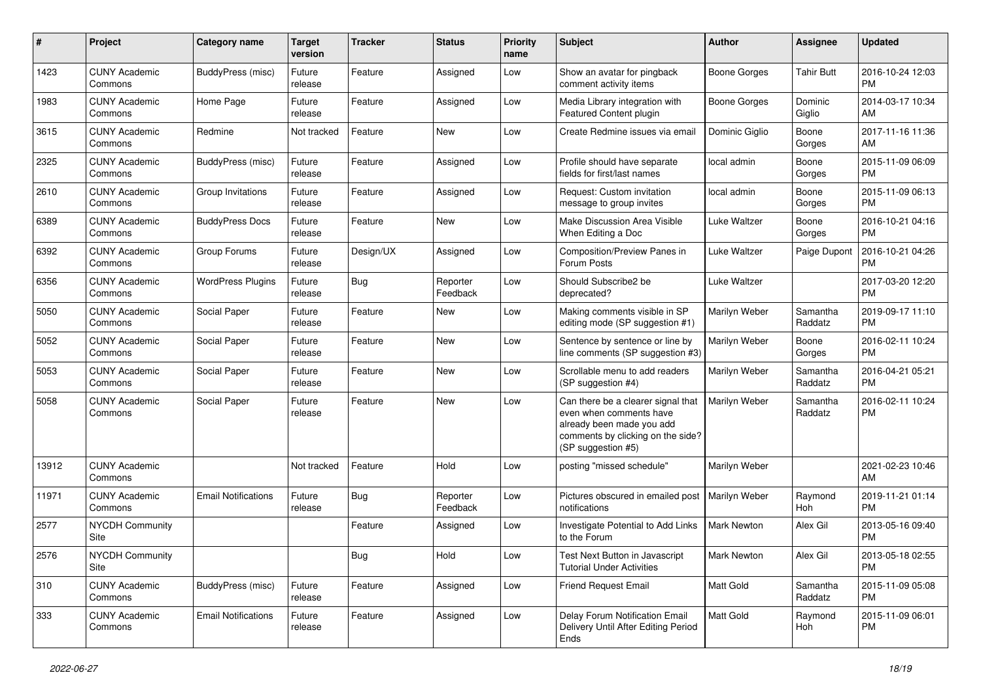| #             | Project                         | <b>Category name</b>       | <b>Target</b><br>version | <b>Tracker</b> | <b>Status</b>        | <b>Priority</b><br>name | Subject                                                                                                                                               | Author               | Assignee            | <b>Updated</b>                |
|---------------|---------------------------------|----------------------------|--------------------------|----------------|----------------------|-------------------------|-------------------------------------------------------------------------------------------------------------------------------------------------------|----------------------|---------------------|-------------------------------|
| 1423          | <b>CUNY Academic</b><br>Commons | BuddyPress (misc)          | Future<br>release        | Feature        | Assigned             | Low                     | Show an avatar for pingback<br>comment activity items                                                                                                 | <b>Boone Gorges</b>  | <b>Tahir Butt</b>   | 2016-10-24 12:03<br><b>PM</b> |
| 1983          | <b>CUNY Academic</b><br>Commons | Home Page                  | Future<br>release        | Feature        | Assigned             | Low                     | Media Library integration with<br>Featured Content plugin                                                                                             | <b>Boone Gorges</b>  | Dominic<br>Giglio   | 2014-03-17 10:34<br>AM        |
| 3615          | <b>CUNY Academic</b><br>Commons | Redmine                    | Not tracked              | Feature        | New                  | Low                     | Create Redmine issues via email                                                                                                                       | Dominic Giglio       | Boone<br>Gorges     | 2017-11-16 11:36<br>AM        |
| 2325          | <b>CUNY Academic</b><br>Commons | BuddyPress (misc)          | Future<br>release        | Feature        | Assigned             | Low                     | Profile should have separate<br>fields for first/last names                                                                                           | local admin          | Boone<br>Gorges     | 2015-11-09 06:09<br><b>PM</b> |
| 2610          | <b>CUNY Academic</b><br>Commons | Group Invitations          | Future<br>release        | Feature        | Assigned             | Low                     | Request: Custom invitation<br>message to group invites                                                                                                | local admin          | Boone<br>Gorges     | 2015-11-09 06:13<br><b>PM</b> |
| 6389          | <b>CUNY Academic</b><br>Commons | <b>BuddyPress Docs</b>     | Future<br>release        | Feature        | New                  | Low                     | Make Discussion Area Visible<br>When Editing a Doc                                                                                                    | Luke Waltzer         | Boone<br>Gorges     | 2016-10-21 04:16<br><b>PM</b> |
| 6392          | <b>CUNY Academic</b><br>Commons | Group Forums               | Future<br>release        | Design/UX      | Assigned             | Low                     | Composition/Preview Panes in<br>Forum Posts                                                                                                           | Luke Waltzer         | Paige Dupont        | 2016-10-21 04:26<br><b>PM</b> |
| 6356          | <b>CUNY Academic</b><br>Commons | <b>WordPress Plugins</b>   | Future<br>release        | Bug            | Reporter<br>Feedback | Low                     | Should Subscribe2 be<br>deprecated?                                                                                                                   | Luke Waltzer         |                     | 2017-03-20 12:20<br><b>PM</b> |
| 5050          | <b>CUNY Academic</b><br>Commons | Social Paper               | Future<br>release        | Feature        | New                  | Low                     | Making comments visible in SP<br>editing mode (SP suggestion #1)                                                                                      | Marilyn Weber        | Samantha<br>Raddatz | 2019-09-17 11:10<br><b>PM</b> |
| 5052          | <b>CUNY Academic</b><br>Commons | Social Paper               | Future<br>release        | Feature        | New                  | Low                     | Sentence by sentence or line by<br>line comments (SP suggestion #3)                                                                                   | Marilyn Weber        | Boone<br>Gorges     | 2016-02-11 10:24<br><b>PM</b> |
| 5053          | <b>CUNY Academic</b><br>Commons | Social Paper               | Future<br>release        | Feature        | New                  | Low                     | Scrollable menu to add readers<br>(SP suggestion #4)                                                                                                  | Marilyn Weber        | Samantha<br>Raddatz | 2016-04-21 05:21<br><b>PM</b> |
| 5058          | <b>CUNY Academic</b><br>Commons | Social Paper               | Future<br>release        | Feature        | New                  | Low                     | Can there be a clearer signal that<br>even when comments have<br>already been made you add<br>comments by clicking on the side?<br>(SP suggestion #5) | <b>Marilyn Weber</b> | Samantha<br>Raddatz | 2016-02-11 10:24<br><b>PM</b> |
| 13912         | <b>CUNY Academic</b><br>Commons |                            | Not tracked              | Feature        | Hold                 | Low                     | posting "missed schedule"                                                                                                                             | Marilyn Weber        |                     | 2021-02-23 10:46<br>AM        |
| 11971         | <b>CUNY Academic</b><br>Commons | <b>Email Notifications</b> | Future<br>release        | Bug            | Reporter<br>Feedback | Low                     | Pictures obscured in emailed post<br>notifications                                                                                                    | Marilyn Weber        | Raymond<br>Hoh      | 2019-11-21 01:14<br><b>PM</b> |
| 2577          | <b>NYCDH Community</b><br>Site  |                            |                          | Feature        | Assigned             | Low                     | Investigate Potential to Add Links<br>to the Forum                                                                                                    | <b>Mark Newton</b>   | Alex Gil            | 2013-05-16 09:40<br><b>PM</b> |
| 2576          | NYCDH Community<br>Site         |                            |                          | Bug            | Hold                 | Low                     | Test Next Button in Javascript<br><b>Tutorial Under Activities</b>                                                                                    | Mark Newton          | Alex Gil            | 2013-05-18 02:55<br>PM        |
| $ 310\rangle$ | <b>CUNY Academic</b><br>Commons | BuddyPress (misc)          | Future<br>release        | Feature        | Assigned             | Low                     | Friend Request Email                                                                                                                                  | Matt Gold            | Samantha<br>Raddatz | 2015-11-09 05:08<br><b>PM</b> |
| 333           | <b>CUNY Academic</b><br>Commons | <b>Email Notifications</b> | Future<br>release        | Feature        | Assigned             | Low                     | Delay Forum Notification Email<br>Delivery Until After Editing Period<br>Ends                                                                         | Matt Gold            | Raymond<br>Hoh      | 2015-11-09 06:01<br>PM        |